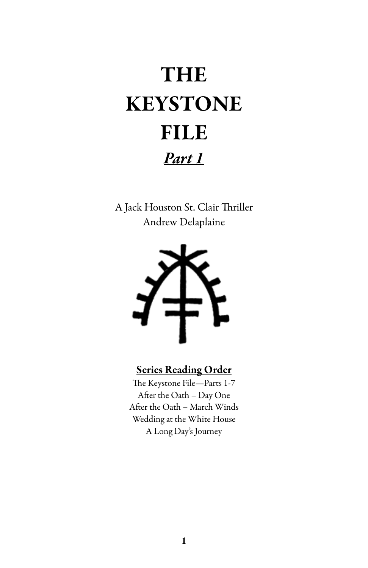# **THE KEYSTONE** FILE Part 1

A Jack Houston St. Clair Thriller Andrew Delaplaine



# **Series Reading Order**

The Keystone File—Parts 1-7 After the Oath – Day One After the Oath – March Winds Wedding at the White House A Long Day's Journey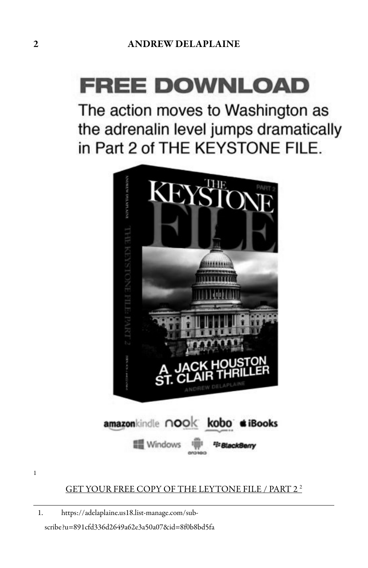# **FREE DOWNLOAD**

The action moves to Washington as the adrenalin level jumps dramatically in Part 2 of THE KEYSTONE FILE.



# GET YOUR FREE COPY OF THE LEYTONE FILE / PART 2 <sup>2</sup>

1. https://adelaplaine.us18.list-manage.com/sub-

scribe?u=891cfd336d2649a62e3a50a07&id=8f0b8bd5fa

1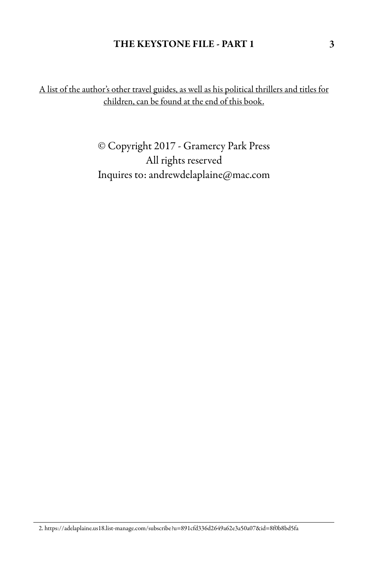### THE KEYSTONE FILE - PART 1 3

A list of the author's other travel guides, as well as his political thrillers and titles for children, can be found at the end of this book.

> © Copyright 2017 - Gramercy Park Press All rights reserved Inquires to: andrewdelaplaine@mac.com

2. https://adelaplaine.us18.list-manage.com/subscribe?u=891cfd336d2649a62e3a50a07&id=8f0b8bd5fa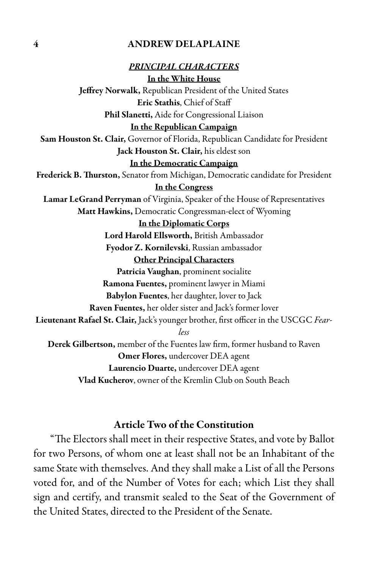PRINCIPAL CHARACTERS In the White House Jeffrey Norwalk, Republican President of the United States Eric Stathis, Chief of Staff Phil Slanetti, Aide for Congressional Liaison In the Republican Campaign Sam Houston St. Clair, Governor of Florida, Republican Candidate for President Jack Houston St. Clair, his eldest son In the Democratic Campaign Frederick B. Thurston, Senator from Michigan, Democratic candidate for President In the Congress Lamar LeGrand Perryman of Virginia, Speaker of the House of Representatives Matt Hawkins, Democratic Congressman-elect of Wyoming In the Diplomatic Corps Lord Harold Ellsworth, British Ambassador Fyodor Z. Kornilevski, Russian ambassador Other Principal Characters Patricia Vaughan, prominent socialite Ramona Fuentes, prominent lawyer in Miami Babylon Fuentes, her daughter, lover to Jack Raven Fuentes, her older sister and Jack's former lover Lieutenant Rafael St. Clair, Jack's younger brother, first officer in the USCGC Fearless Derek Gilbertson, member of the Fuentes law firm, former husband to Raven Omer Flores, undercover DEA agent Laurencio Duarte, undercover DEA agent Vlad Kucherov, owner of the Kremlin Club on South Beach

# Article Two of the Constitution

"The Electors shall meet in their respective States,and vote by Ballot for two Persons, of whom one at least shall not be an Inhabitant of the same State with themselves. And they shall make a List of all the Persons voted for, and of the Number of Votes for each; which List they shall sign and certify, and transmit sealed to the Seat of the Government of the United States, directed to the President of the Senate.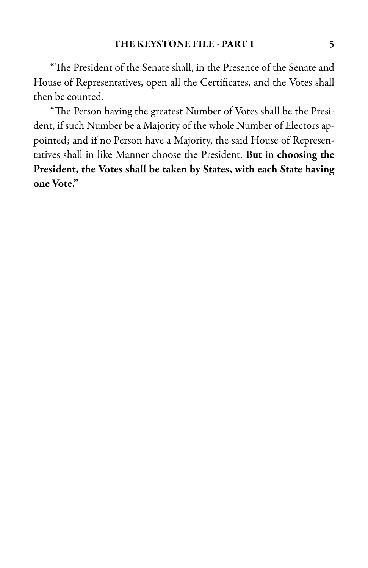"The President of the Senate shall, in the Presence of the Senate and House of Representatives, open all the Certificates, and the Votes shall then be counted.

"The Person having the greatest Number of Votes shall be the President, if such Number be a Majority of the whole Number of Electors appointed; and if no Person have a Majority, the said House of Representatives shall in like Manner choose the President. But in choosing the President, the Votes shall be taken by States, with each State having one Vote."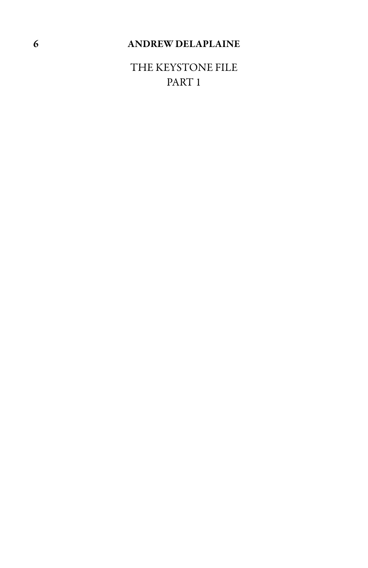THE KEYSTONE FILE PART 1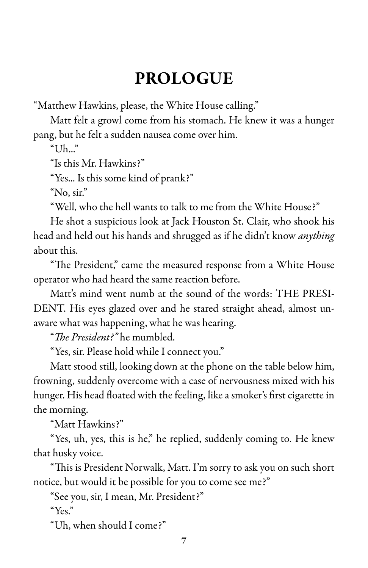# PROLOGUE

"Matthew Hawkins, please, the White House calling."

Matt felt a growl come from his stomach. He knew it was a hunger pang, but he felt a sudden nausea come over him.

"Uh..."

"Is this Mr. Hawkins?"

"Yes... Is this some kind of prank?"

"No, sir."

"Well, who the hell wants to talk to me from the White House?"

He shot a suspicious look at Jack Houston St. Clair, who shook his head and held out his hands and shrugged as if he didn't know *anything* about this.

"The President," came the measured response from a White House operator who had heard the same reaction before.

Matt's mind went numb at the sound of the words: THE PRESI-DENT. His eyes glazed over and he stared straight ahead, almost unaware what was happening, what he was hearing.

"The President?" he mumbled.

"Yes, sir. Please hold while I connect you."

Matt stood still, looking down at the phone on the table below him, frowning, suddenly overcome with a case of nervousness mixed with his hunger. His head floated with the feeling, like a smoker's first cigarette in the morning.

"Matt Hawkins?"

"Yes, uh, yes, this is he," he replied, suddenly coming to. He knew that husky voice.

"This is President Norwalk, Matt. I'm sorry to ask you on such short notice, but would it be possible for you to come see me?"

"See you, sir, I mean, Mr. President?"

"Yes."

"Uh, when should I come?"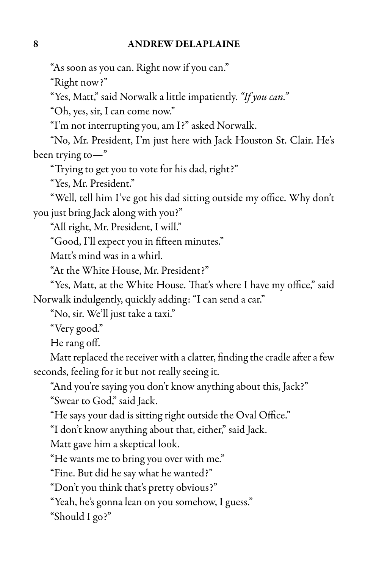"As soon as you can. Right now if you can."

"Right now?"

"Yes, Matt," said Norwalk a little impatiently. "If you can."

"Oh, yes, sir, I can come now."

"I'm not interrupting you, am I?" asked Norwalk.

"No, Mr. President, I'm just here with Jack Houston St. Clair. He's been trying to—"

"Trying to get you to vote for his dad, right?"

"Yes, Mr. President."

"Well, tell him I've got his dad sitting outside my office. Why don't you just bring Jack along with you?"

"All right, Mr. President, I will."

"Good, I'll expect you in fifteen minutes."

Matt's mind was in a whirl.

"At the White House, Mr. President?"

"Yes, Matt, at the White House. That's where I have my office," said Norwalk indulgently, quickly adding: "I can send a car."

"No, sir. We'll just take a taxi."

"Very good."

He rang off.

Matt replaced the receiver with a clatter, finding the cradle after a few seconds, feeling for it but not really seeing it.

"And you're saying you don't know anything about this, Jack?"

"Swear to God," said Jack.

"He says your dad is sitting right outside the Oval Office."

"I don't know anything about that, either," said Jack.

Matt gave him a skeptical look.

"He wants me to bring you over with me."

"Fine. But did he say what he wanted?"

"Don't you think that's pretty obvious?"

"Yeah, he's gonna lean on you somehow, I guess."

"Should I go?"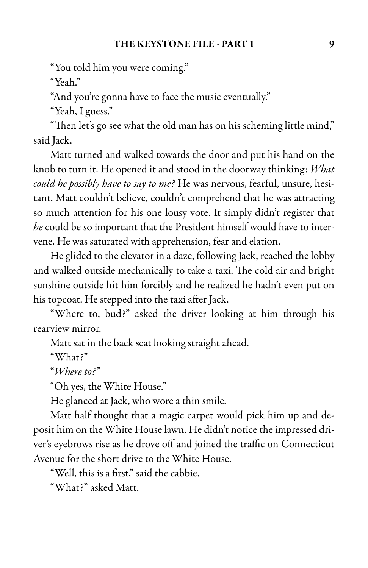"You told him you were coming."

"Yeah."

"And you're gonna have to face the music eventually."

"Yeah, I guess."

"Then let's go see what the old man has on his scheming little mind," said Jack.

Matt turned and walked towards the door and put his hand on the knob to turn it. He opened it and stood in the doorway thinking: What could he possibly have to say to me? He was nervous, fearful, unsure, hesitant. Matt couldn't believe, couldn't comprehend that he was attracting so much attention for his one lousy vote. It simply didn't register that he could be so important that the President himself would have to intervene. He was saturated with apprehension, fear and elation.

He glided to the elevator in a daze, following Jack, reached the lobby and walked outside mechanically to take a taxi. The cold air and bright sunshine outside hit him forcibly and he realized he hadn't even put on his topcoat. He stepped into the taxi after Jack.

"Where to, bud?" asked the driver looking at him through his rearview mirror.

Matt sat in the back seat looking straight ahead.

"What?"

"Where to?"

"Oh yes, the White House."

He glanced at Jack, who wore a thin smile.

Matt half thought that a magic carpet would pick him up and deposit him on the White House lawn. He didn't notice the impressed driver's eyebrows rise as he drove off and joined the traffic on Connecticut Avenue for the short drive to the White House.

"Well, this is a first," said the cabbie.

"What?" asked Matt.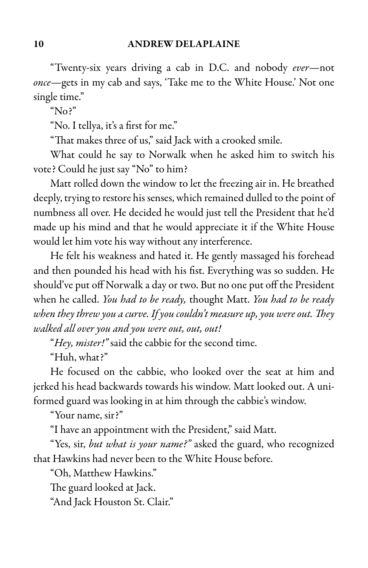"Twenty-six years driving a cab in D.C. and nobody ever—not once—gets in my cab and says, 'Take me to the White House.' Not one single time."

" $No?$ "

"No. I tellya, it's a first for me."

"That makes three of us," said Jack with a crooked smile.

What could he say to Norwalk when he asked him to switch his vote? Could he just say "No" to him?

Matt rolled down the window to let the freezing air in. He breathed deeply, trying to restore his senses, which remained dulled to the point of numbness all over. He decided he would just tell the President that he'd made up his mind and that he would appreciate it if the White House would let him vote his way without any interference.

He felt his weakness and hated it. He gently massaged his forehead and then pounded his head with his fist. Everything was so sudden. He should've put off Norwalk a day or two. But no one put off the President when he called. You had to be ready, thought Matt. You had to be ready when they threw you a curve. If you couldn't measure up, you were out. They walked all over you and you were out, out, out!

"Hey, mister!" said the cabbie for the second time.

"Huh, what?"

He focused on the cabbie, who looked over the seat at him and jerked his head backwards towards his window. Matt looked out. A uniformed guard was looking in at him through the cabbie's window.

"Your name, sir?"

"I have an appointment with the President," said Matt.

"Yes, sir, but what is your name?" asked the guard, who recognized that Hawkins had never been to the White House before.

"Oh, Matthew Hawkins."

The guard looked at Jack.

"And Jack Houston St. Clair."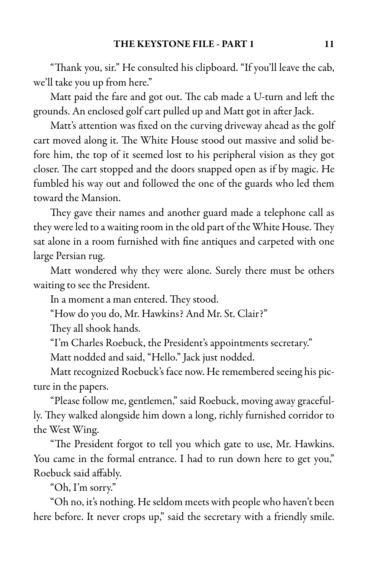"Thank you, sir." He consulted his clipboard. "If you'll leave the cab, we'll take you up from here."

Matt paid the fare and got out. The cab made a U-turn and left the grounds. An enclosed golf cart pulled up and Matt got in after Jack.

Matt's attention was fixed on the curving driveway ahead as the golf cart moved along it. The White House stood out massive and solid before him, the top of it seemed lost to his peripheral vision as they got closer. The cart stopped and the doors snapped open as if by magic. He fumbled his way out and followed the one of the guards who led them toward the Mansion.

They gave their names and another guard made a telephone call as they were led to a waiting room in the old part of the White House. They sat alone in a room furnished with fine antiques and carpeted with one large Persian rug.

Matt wondered why they were alone. Surely there must be others waiting to see the President.

In a moment a man entered. They stood.

"How do you do, Mr. Hawkins? And Mr. St. Clair?"

They all shook hands.

"I'm Charles Roebuck, the President's appointments secretary."

Matt nodded and said, "Hello." Jack just nodded.

Matt recognized Roebuck's face now. He remembered seeing his picture in the papers.

"Please follow me, gentlemen," said Roebuck, moving away gracefully. They walked alongside him down a long, richly furnished corridor to the West Wing.

"The President forgot to tell you which gate to use, Mr. Hawkins. You came in the formal entrance. I had to run down here to get you," Roebuck said affably.

"Oh, I'm sorry."

"Oh no, it's nothing. Heseldom meets with people who haven't been here before. It never crops up," said the secretary with a friendly smile.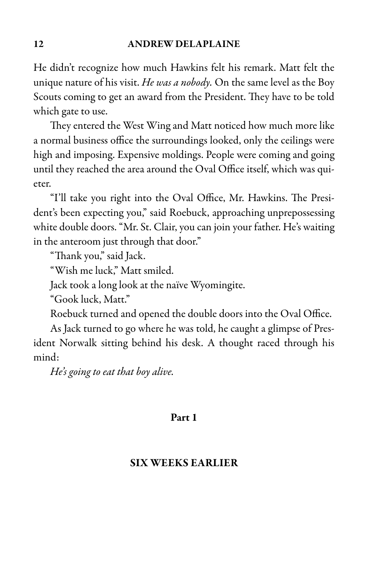He didn't recognize how much Hawkins felt his remark. Matt felt the unique nature of his visit. He was a nobody. On the same level as the Boy Scouts coming to get an award from the President. They have to be told which gate to use.

They entered the West Wing and Matt noticed how much more like a normal business office the surroundings looked, only the ceilings were high and imposing. Expensive moldings. People were coming and going until they reached the area around the Oval Office itself, which was quieter.

"I'll take you right into the Oval Office, Mr. Hawkins. The President's been expecting you," said Roebuck, approaching unprepossessing white double doors. "Mr. St. Clair, you can join your father. He's waiting in the anteroom just through that door."

"Thank you," said Jack.

"Wish me luck," Matt smiled.

Jack took a long look at the naïve Wyomingite.

"Gook luck, Matt."

Roebuck turned and opened the double doors into the Oval Office.

As Jack turned to go where he was told, he caught a glimpse of President Norwalk sitting behind his desk. A thought raced through his mind:

He's going to eat that boy alive.

### Part 1

# SIX WEEKS EARLIER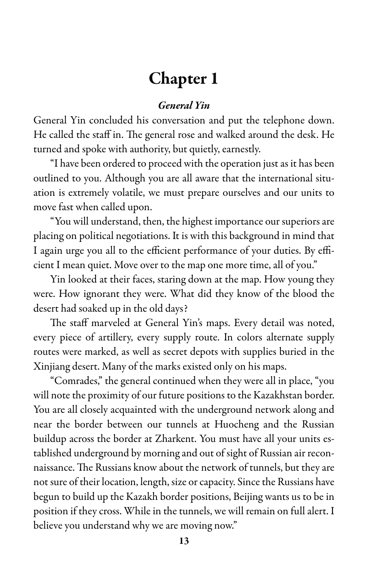# Chapter 1

### General Yin

General Yin concluded his conversation and put the telephone down. He called the staff in. The general rose and walked around the desk. He turned and spoke with authority, but quietly, earnestly.

"I have been ordered to proceed with the operation just as it has been outlined to you. Although you are all aware that the international situation is extremely volatile, we must prepare ourselves and our units to move fast when called upon.

"You will understand, then, the highest importance our superiors are placing on political negotiations. It is with this background in mind that I again urge you all to the efficient performance of your duties. By efficient I mean quiet. Move over to the map one more time, all of you."

Yin looked at their faces, staring down at the map. How young they were. How ignorant they were. What did they know of the blood the desert had soaked up in the old days?

The staff marveled at General Yin's maps. Every detail was noted, every piece of artillery, every supply route. In colors alternate supply routes were marked, as well as secret depots with supplies buried in the Xinjiang desert. Many of the marks existed only on his maps.

"Comrades," the general continued when they were all in place, "you will note the proximity of our future positions to the Kazakhstan border. You are all closely acquainted with the underground network along and near the border between our tunnels at Huocheng and the Russian buildup across the border at Zharkent. You must have all your units established underground by morning and out of sight of Russian air reconnaissance. The Russians know about the network of tunnels, but they are not sure of their location, length, size or capacity. Since the Russians have begun to build up the Kazakh border positions, Beijing wants us to be in position if they cross. While in the tunnels, we will remain on full alert. I believe you understand why we are moving now."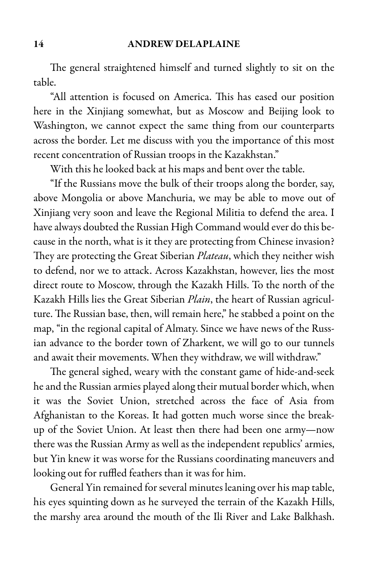The general straightened himself and turned slightly to sit on the table.

"All attention is focused on America. This has eased our position here in the Xinjiang somewhat, but as Moscow and Beijing look to Washington, we cannot expect the same thing from our counterparts across the border. Let me discuss with you the importance of this most recent concentration of Russian troops in the Kazakhstan."

With this he looked back at his maps and bent over the table.

"If the Russians move the bulk of their troops along the border, say, above Mongolia or above Manchuria, we may be able to move out of Xinjiang very soon and leave the Regional Militia to defend the area. I have always doubted the Russian High Command would ever do this because in the north, what is it they are protecting from Chinese invasion? They are protecting the Great Siberian Plateau, which they neither wish to defend, nor we to attack. Across Kazakhstan, however, lies the most direct route to Moscow, through the Kazakh Hills. To the north of the Kazakh Hills lies the Great Siberian Plain, the heart of Russian agriculture. The Russian base, then, will remain here," he stabbed a point on the map, "in the regional capital of Almaty. Since we have news of the Russian advance to the border town of Zharkent, we will go to our tunnels and await their movements. When they withdraw, we will withdraw."

The general sighed, weary with the constant game of hide-and-seek he and the Russian armies played along their mutual border which, when it was the Soviet Union, stretched across the face of Asia from Afghanistan to the Koreas. It had gotten much worse since the breakup of the Soviet Union. At least then there had been one army—now there was the Russian Army as well as the independent republics' armies, but Yin knew it was worse for the Russians coordinating maneuvers and looking out for ruffled feathers than it was for him.

General Yin remained for several minutes leaning over his maptable, his eyes squinting down as he surveyed the terrain of the Kazakh Hills, the marshy area around the mouth of the Ili River and Lake Balkhash.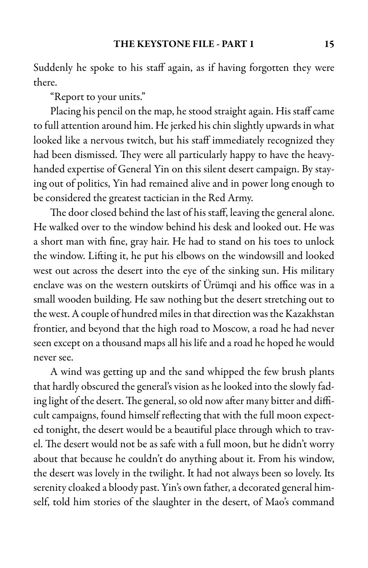Suddenly he spoke to his staff again, as if having forgotten they were there.

"Report to your units."

Placing his pencil on the map, he stood straight again. His staff came to full attention around him. He jerked his chin slightly upwards in what looked like a nervous twitch, but his staff immediately recognized they had been dismissed. They were all particularly happy to have the heavyhanded expertise of General Yin on this silent desert campaign. By staying out of politics, Yin had remained alive and in power long enough to be considered the greatest tactician in the Red Army.

The door closed behind the last of his staff, leaving the general alone. He walked over to the window behind his desk and looked out. He was a short man with fine, gray hair. He had to stand on his toes to unlock the window. Lifting it, he put his elbows on the windowsill and looked west out across the desert into the eye of the sinking sun. His military enclave was on the western outskirts of Ürümqi and his office was in a small wooden building. He saw nothing but the desert stretching out to the west. A couple of hundred miles in that direction was the Kazakhstan frontier, and beyond that the high road to Moscow, a road he had never seen except on a thousand maps all his life and a road he hoped he would never see.

A wind was getting up and the sand whipped the few brush plants that hardly obscured the general's vision as he looked into the slowly fading light of the desert. The general, so old now after many bitter and difficult campaigns, found himself reflecting that with the full moon expected tonight, the desert would be a beautiful place through which to travel. The desert would not be as safe with a full moon, but he didn't worry about that because he couldn't do anything about it. From his window, the desert was lovely in the twilight. It had not always been so lovely. Its serenity cloaked a bloody past. Yin's own father, a decorated general himself, told him stories of the slaughter in the desert, of Mao's command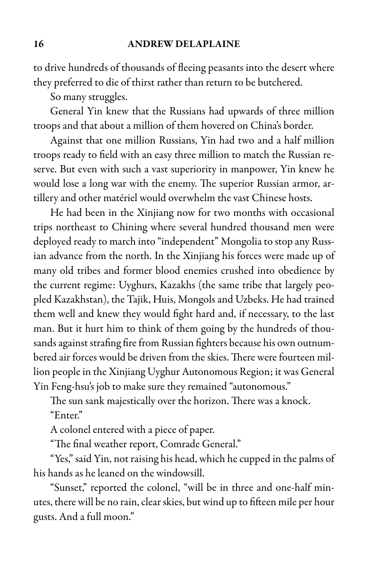to drive hundreds of thousands of fleeing peasants into the desert where they preferred to die of thirst rather than return to be butchered.

So many struggles.

General Yin knew that the Russians had upwards of three million troops and that about a million of them hovered on China's border.

Against that one million Russians, Yin had two and a half million troops ready to field with an easy three million to match the Russian reserve. But even with such a vast superiority in manpower, Yin knew he would lose a long war with the enemy. The superior Russian armor, artillery and other matériel would overwhelm the vast Chinese hosts.

He had been in the Xinjiang now for two months with occasional trips northeast to Chining where several hundred thousand men were deployed ready to march into "independent" Mongolia to stop any Russian advance from the north. In the Xinjiang his forces were made up of many old tribes and former blood enemies crushed into obedience by the current regime: Uyghurs, Kazakhs (the same tribe that largely peopled Kazakhstan), the Tajik, Huis, Mongolsand Uzbeks. He had trained them well and knew they would fight hard and, if necessary, to the last man. But it hurt him to think of them going by the hundreds of thousands against strafing fire from Russian fighters because his own outnumbered air forces would be driven from the skies. There were fourteen million people in the Xinjiang Uyghur Autonomous Region; it was General Yin Feng-hsu's job to make sure they remained "autonomous."

The sun sank majestically over the horizon. There was a knock. "Enter."

A colonel entered with a piece of paper.

"The final weather report, Comrade General."

"Yes," said Yin, not raising his head, which hecupped in the palms of his hands as he leaned on the windowsill.

"Sunset," reported the colonel, "will be in three and one-half minutes, there will be no rain, clear skies, but wind up to fifteen mile per hour gusts. And a full moon."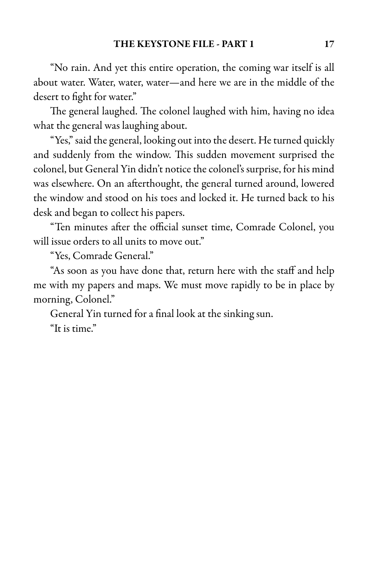"No rain. And yet this entire operation, the coming war itself is all about water. Water, water, water—and here we are in the middle of the desert to fight for water."

The general laughed. The colonel laughed with him, having no idea what the general was laughing about.

"Yes," said the general, looking out into the desert. He turned quickly and suddenly from the window. This sudden movement surprised the colonel, but General Yin didn't notice the colonel's surprise, for his mind was elsewhere. On an afterthought, the general turned around, lowered the window and stood on his toes and locked it. He turned back to his desk and began to collect his papers.

"Ten minutes after the official sunset time, Comrade Colonel, you will issue orders to all units to move out."

"Yes, Comrade General."

"As soon as you have done that, return here with the staff and help me with my papers and maps. We must move rapidly to be in place by morning, Colonel."

General Yin turned for a final look at the sinking sun.

"It is time."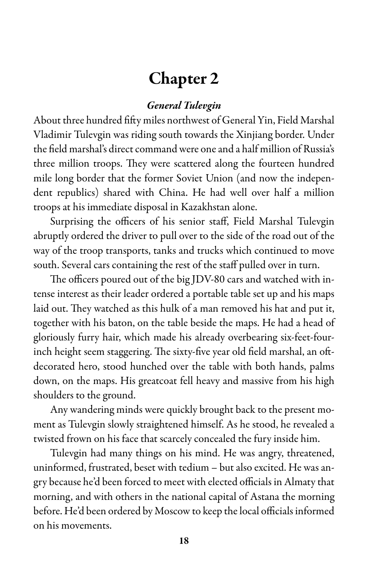# Chapter 2

# General Tulevgin

About three hundred fifty miles northwest of General Yin, Field Marshal Vladimir Tulevgin was riding south towards the Xinjiang border. Under the field marshal's direct command were one and a half million of Russia's three million troops. They were scattered along the fourteen hundred mile long border that the former Soviet Union (and now the independent republics) shared with China. He had well over half a million troops at his immediate disposal in Kazakhstan alone.

Surprising the officers of his senior staff, Field Marshal Tulevgin abruptly ordered the driver to pull over to the side of the road out of the way of the troop transports, tanks and trucks which continued to move south. Several cars containing the rest of the staff pulled over in turn.

The officers poured out of the big JDV-80 cars and watched with intense interest as their leader ordered a portable table set up and his maps laid out. They watched as this hulk of a man removed his hat and put it, together with his baton, on the table beside the maps. He had a head of gloriously furry hair, which made his already overbearing six-feet-fourinch height seem staggering. The sixty-five year old field marshal, an oftdecorated hero, stood hunched over the table with both hands, palms down, on the maps. His greatcoat fell heavy and massive from his high shoulders to the ground.

Any wandering minds were quickly brought back to the present moment as Tulevgin slowly straightened himself. As he stood, he revealed a twisted frown on his face that scarcely concealed the fury inside him.

Tulevgin had many things on his mind. He was angry, threatened, uninformed, frustrated, beset with tedium – but also excited. He was angry because he'd been forced to meet with elected officials in Almaty that morning, and with others in the national capital of Astana the morning before. He'd been ordered by Moscow to keep the local officials informed on his movements.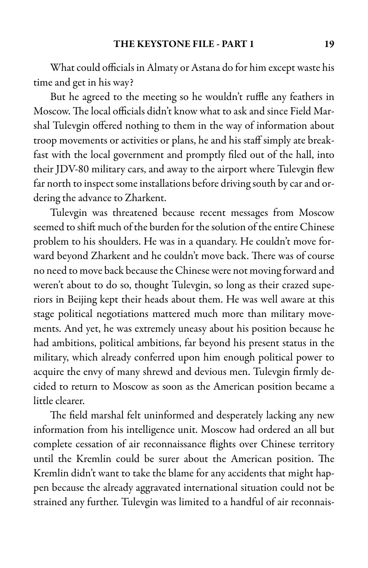What could officials in Almaty or Astana do for him except waste his time and get in his way?

But he agreed to the meeting so he wouldn't ruffle any feathers in Moscow. The local officials didn't know what to ask and since Field Marshal Tulevgin offered nothing to them in the way of information about troop movements or activities or plans, he and his staff simply ate breakfast with the local government and promptly filed out of the hall, into their JDV-80 military cars, and away to the airport where Tulevgin flew far north to inspect some installations before driving south by car and ordering the advance to Zharkent.

Tulevgin was threatened because recent messages from Moscow seemed to shift much of the burden for the solution of the entire Chinese problem to his shoulders. He was in a quandary. He couldn't move forward beyond Zharkent and he couldn't move back. There was of course no need to move back because the Chinese were not moving forward and weren't about to do so, thought Tulevgin, so long as their crazed superiors in Beijing kept their heads about them. He was well aware at this stage political negotiations mattered much more than military movements. And yet, he was extremely uneasy about his position because he had ambitions, political ambitions, far beyond his present status in the military, which already conferred upon him enough political power to acquire the envy of many shrewd and devious men. Tulevgin firmly decided to return to Moscow as soon as the American position became a little clearer.

The field marshal felt uninformed and desperately lacking any new information from his intelligence unit. Moscow had ordered an all but complete cessation of air reconnaissance flights over Chinese territory until the Kremlin could be surer about the American position. The Kremlin didn't want to take the blame for any accidents that might happen because the already aggravated international situation could not be strained any further. Tulevgin was limited to a handful of air reconnais-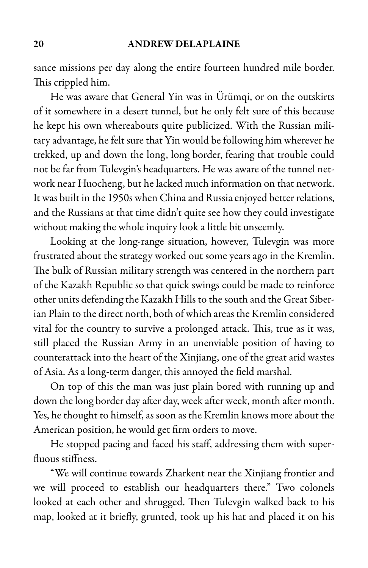sance missions per day along the entire fourteen hundred mile border. This crippled him.

He was aware that General Yin was in Ürümqi, or on the outskirts of it somewhere in a desert tunnel, but he only felt sure of this because he kept his own whereabouts quite publicized. With the Russian military advantage, he felt sure that Yin would be following him wherever he trekked, up and down the long, long border, fearing that trouble could not be far from Tulevgin's headquarters. He was aware of the tunnel network near Huocheng, but helacked much information on that network. It was built in the 1950s when China and Russia enjoyed better relations, and the Russians at that time didn't quite see how they could investigate without making the whole inquiry look a little bit unseemly.

Looking at the long-range situation, however, Tulevgin was more frustrated about the strategy worked out some years ago in the Kremlin. The bulk of Russian military strength was centered in the northern part of the Kazakh Republic so that quick swings could be made to reinforce other units defending the Kazakh Hills to the south and the Great Siberian Plain to the direct north, both of which areas the Kremlin considered vital for the country to survive a prolonged attack. This, true as it was, still placed the Russian Army in an unenviable position of having to counterattack into the heart of the Xinjiang, one of the great arid wastes of Asia. As a long-term danger, this annoyed the field marshal.

On top of this the man was just plain bored with running up and down the long border day after day, week after week, month after month. Yes, he thought to himself, as soon as the Kremlin knows more about the American position, he would get firm orders to move.

He stopped pacing and faced his staff, addressing them with superfluous stiffness.

"We will continue towards Zharkent near the Xinjiang frontier and we will proceed to establish our headquarters there." Two colonels looked at each other and shrugged. Then Tulevgin walked back to his map, looked at it briefly, grunted, took up his hat and placed it on his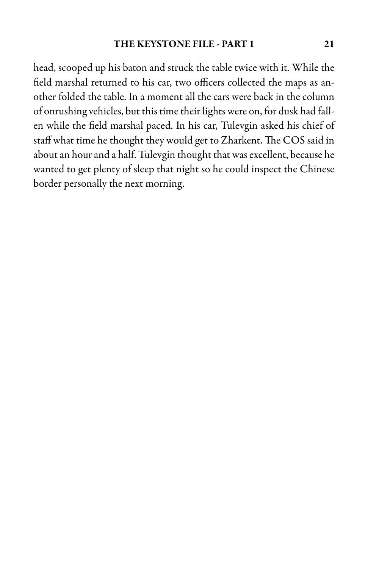head, scooped up his baton and struck the table twice with it. While the field marshal returned to his car, two officers collected the maps as another folded the table. In a moment all the cars were back in the column of onrushing vehicles, but this time their lights were on, for dusk had fallen while the field marshal paced. In his car, Tulevgin asked his chief of staff what time he thought they would get to Zharkent. The COS said in about an hour and a half. Tulevgin thought that was excellent, because he wanted to get plenty of sleep that night so he could inspect the Chinese border personally the next morning.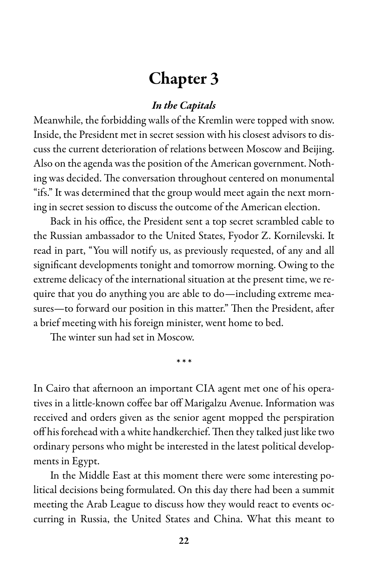# Chapter 3

### In the Capitals

Meanwhile, the forbidding walls of the Kremlin were topped with snow. Inside, the President met in secret session with hisclosestadvisors to discuss the current deterioration of relations between Moscow and Beijing. Also on the agenda was the position of the American government. Nothing was decided. The conversation throughout centered on monumental "ifs." It was determined that the group would meet again the next morning in secret session to discuss the outcome of the American election.

Back in his office, the President sent a top secret scrambled cable to the Russian ambassador to the United States, Fyodor Z. Kornilevski. It read in part, "You will notify us, as previously requested, of any and all significant developments tonight and tomorrow morning. Owing to the extreme delicacy of the international situation at the present time, we require that you do anything you are able to do—including extreme measures—to forward our position in this matter." Then the President, after a brief meeting with his foreign minister, went home to bed.

The winter sun had set in Moscow.

\* \* \*

In Cairo that afternoon an important CIA agent met one of his operatives in a little-known coffee bar off Marigalzu Avenue. Information was received and orders given as the senior agent mopped the perspiration off his forehead with a white handkerchief. Then they talked just like two ordinary persons who might be interested in the latest political developments in Egypt.

In the Middle East at this moment there were some interesting political decisions being formulated. On this day there had been a summit meeting the Arab League to discuss how they would react to events occurring in Russia, the United States and China. What this meant to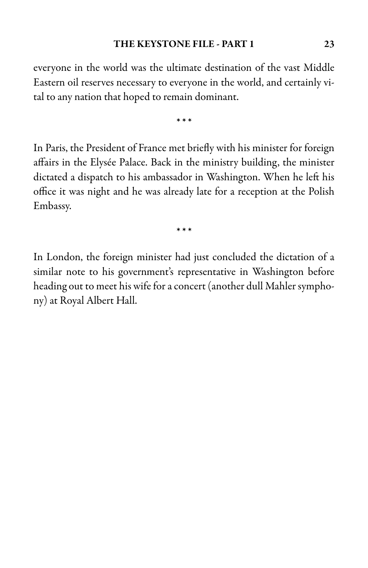everyone in the world was the ultimate destination of the vast Middle Eastern oil reserves necessary to everyone in the world, and certainly vital to any nation that hoped to remain dominant.

\* \* \*

In Paris, the President of France met briefly with his minister for foreign affairs in the Elysée Palace. Back in the ministry building, the minister dictated a dispatch to his ambassador in Washington. When he left his office it was night and he was already late for a reception at the Polish Embassy.

\* \* \*

In London, the foreign minister had just concluded the dictation of a similar note to his government's representative in Washington before heading out to meet his wife for a concert (another dull Mahler symphony) at Royal Albert Hall.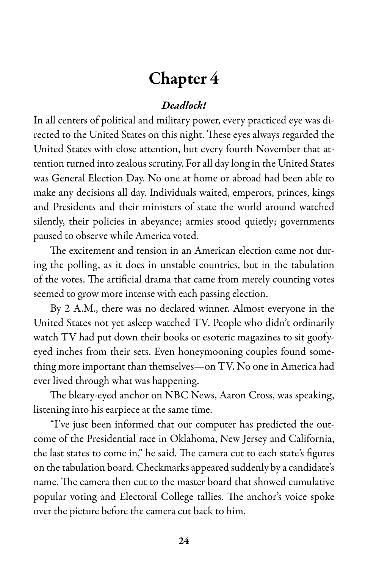# Chapter 4

# Deadlock!

In all centers of political and military power, every practiced eye was directed to the United States on this night. These eyes always regarded the United States with close attention, but every fourth November that attention turned into zealous scrutiny. Forall day long in the United States was General Election Day. No one at home or abroad had been able to make any decisions all day. Individuals waited, emperors, princes, kings and Presidents and their ministers of state the world around watched silently, their policies in abeyance; armies stood quietly; governments paused to observe while America voted.

The excitement and tension in an American election came not during the polling, as it does in unstable countries, but in the tabulation of the votes. The artificial drama that came from merely counting votes seemed to grow more intense with each passing election.

By 2 A.M., there was no declared winner. Almost everyone in the United States not yet asleep watched TV. People who didn't ordinarily watch TV had put down their books or esoteric magazines to sit goofyeyed inches from their sets. Even honeymooning couples found something more important than themselves—on TV. No one in America had ever lived through what was happening.

The bleary-eyed anchor on NBC News, Aaron Cross, was speaking, listening into his earpiece at the same time.

"I've just been informed that our computer has predicted the outcome of the Presidential race in Oklahoma, New Jersey and California, the last states to come in," he said. The camera cut to each state's figures on the tabulation board. Checkmarks appeared suddenly by a candidate's name. The camera then cut to the master board that showed cumulative popular voting and Electoral College tallies. The anchor's voice spoke over the picture before the camera cut back to him.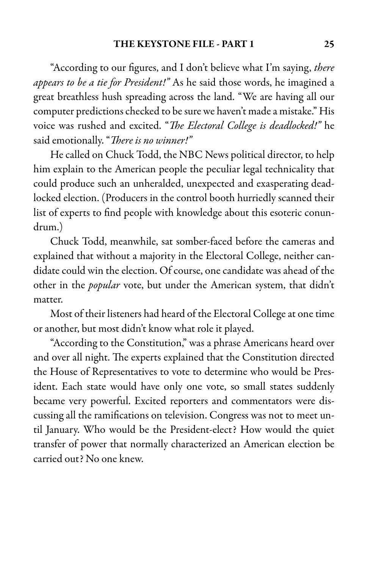"According to our figures, and I don't believe what I'm saying, *there* appears to be a tie for President!" As he said those words, he imagined a great breathless hush spreading across the land. "We are having all our computer predictions checked to be sure we haven't made a mistake." His voice was rushed and excited. "The Electoral College is deadlocked!" he said emotionally. "There is no winner!"

He called on Chuck Todd, the NBC News political director, to help him explain to the American people the peculiar legal technicality that could produce such an unheralded, unexpected and exasperating deadlocked election. (Producers in the control booth hurriedly scanned their list of experts to find people with knowledge about this esoteric conundrum.)

Chuck Todd, meanwhile, sat somber-faced before the cameras and explained that without a majority in the Electoral College, neither candidate could win the election. Of course, one candidate was ahead of the other in the *popular* vote, but under the American system, that didn't matter.

Most of their listeners had heard of the Electoral College at one time or another, but most didn't know what role it played.

"According to the Constitution," was a phrase Americans heard over and over all night. The experts explained that the Constitution directed the House of Representatives to vote to determine who would be President. Each state would have only one vote, so small states suddenly became very powerful. Excited reporters and commentators were discussing all the ramifications on television. Congress was not to meet until January. Who would be the President-elect? How would the quiet transfer of power that normally characterized an American election be carried out? No one knew.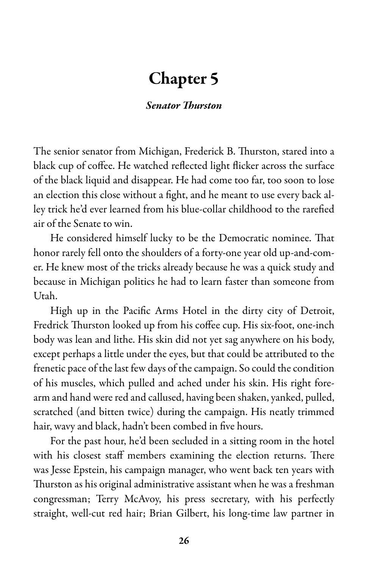# Chapter 5

### Senator Thurston

The senior senator from Michigan, Frederick B. Thurston, stared into a black cup of coffee. He watched reflected light flicker across the surface of the black liquid and disappear. He had come too far, too soon to lose an election this close without a fight, and he meant to use every back alley trick he'd ever learned from his blue-collar childhood to the rarefied air of the Senate to win.

He considered himself lucky to be the Democratic nominee. That honor rarely fell onto the shoulders of a forty-one year old up-and-comer. He knew most of the tricks already because he was a quick study and because in Michigan politics he had to learn faster than someone from Utah.

High up in the Pacific Arms Hotel in the dirty city of Detroit, Fredrick Thurston looked up from his coffee cup. His six-foot, one-inch body was lean and lithe. His skin did not yet sag anywhere on his body, except perhaps a little under the eyes, but that could be attributed to the frenetic pace of the last few days of the campaign. So could the condition of his muscles, which pulled and ached under his skin. His right forearm and hand were red and callused, having been shaken, yanked, pulled, scratched (and bitten twice) during the campaign. His neatly trimmed hair, wavy and black, hadn't been combed in five hours.

For the past hour, he'd been secluded in a sitting room in the hotel with his closest staff members examining the election returns. There was Jesse Epstein, his campaign manager, who went back ten years with Thurston as his original administrative assistant when he was a freshman congressman; Terry McAvoy, his press secretary, with his perfectly straight, well-cut red hair; Brian Gilbert, his long-time law partner in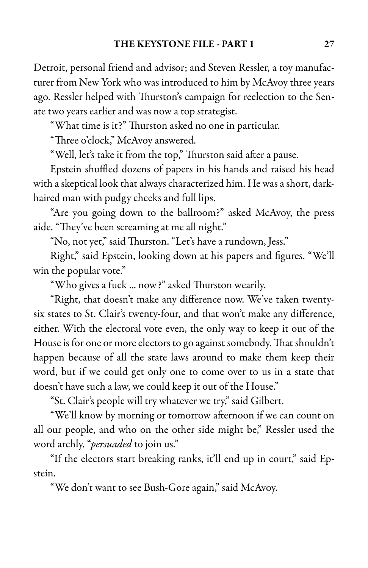Detroit, personal friend and advisor; and Steven Ressler, a toy manufacturer from New York who was introduced to him by McAvoy three years ago. Ressler helped with Thurston's campaign for reelection to the Senate two years earlier and was now a top strategist.

"What time is it?" Thurston asked no one in particular.

"Three o'clock," McAvoy answered.

"Well, let's take it from the top," Thurston said after a pause.

Epstein shuffled dozens of papers in his hands and raised his head with a skeptical look that always characterized him. He was a short, darkhaired man with pudgy cheeks and full lips.

"Are you going down to the ballroom?" asked McAvoy, the press aide. "They've been screaming at me all night."

"No, not yet," said Thurston. "Let's have a rundown, Jess."

Right," said Epstein, looking down at his papers and figures. "We'll win the popular vote."

"Who gives a fuck ... now?" asked Thurston wearily.

"Right, that doesn't make any difference now. We've taken twentysix states to St. Clair's twenty-four, and that won't make any difference, either. With the electoral vote even, the only way to keep it out of the House is for one or more electors to go against somebody. That shouldn't happen because of all the state laws around to make them keep their word, but if we could get only one to come over to us in a state that doesn't have such a law, we could keep it out of the House."

"St. Clair's people will try whatever we try," said Gilbert.

"We'll know by morning or tomorrow afternoon if we can count on all our people, and who on the other side might be," Ressler used the word archly, "persuaded to join us."

"If the electors start breaking ranks, it'll end up in court," said Epstein.

"We don't want to see Bush-Gore again," said McAvoy.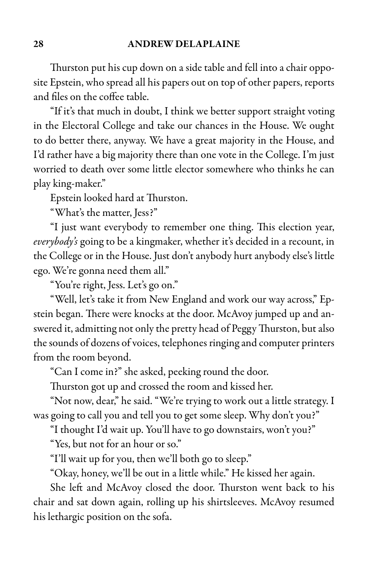Thurston put his cup down on a side table and fell into a chair opposite Epstein, who spread all his papers out on top of other papers, reports and files on the coffee table.

"If it's that much in doubt, I think we better support straight voting in the Electoral College and take our chances in the House. We ought to do better there, anyway. We have a great majority in the House, and I'd rather have a big majority there than one vote in the College. I'm just worried to death over some little elector somewhere who thinks he can play king-maker."

Epstein looked hard at Thurston.

"What's the matter, Jess?"

"I just want everybody to remember one thing. This election year, everybody's going to be a kingmaker, whether it's decided in a recount, in the College or in the House. Just don't anybody hurt anybody else's little ego. We're gonna need them all."

"You're right, Jess. Let's go on."

"Well, let's take it from New England and work our way across," Epstein began. There were knocks at the door. McAvoy jumped up and answered it, admitting not only the pretty head of Peggy Thurston, but also the sounds of dozens of voices, telephones ringing and computer printers from the room beyond.

"Can I come in?" she asked, peeking round the door.

Thurston got up and crossed the room and kissed her.

"Not now, dear," he said. "We're trying to work out a little strategy. I was going to call you and tell you to get some sleep. Why don't you?"

"I thought I'd wait up. You'll have to go downstairs, won't you?"

"Yes, but not for an hour or so."

"I'll wait up for you, then we'll both go to sleep."

"Okay, honey, we'll be out in a little while." He kissed her again.

She left and McAvoy closed the door. Thurston went back to his chair and sat down again, rolling up his shirtsleeves. McAvoy resumed his lethargic position on the sofa.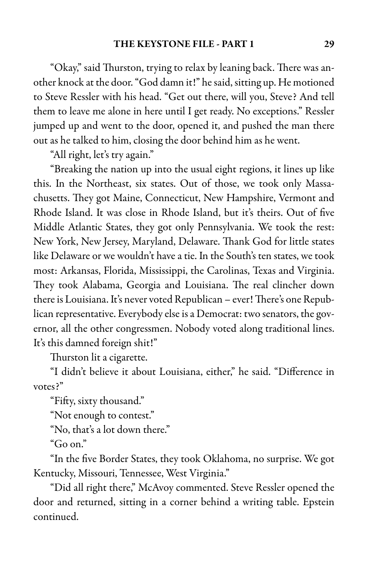"Okay," said Thurston, trying to relax by leaning back. There was another knock at the door."God damn it!" hesaid, sitting up. He motioned to Steve Ressler with his head. "Get out there, will you, Steve? And tell them to leave me alone in here until I get ready. No exceptions." Ressler jumped up and went to the door, opened it, and pushed the man there out as he talked to him, closing the door behind him as he went.

"All right, let's try again."

"Breaking the nation up into the usual eight regions, it lines up like this. In the Northeast, six states. Out of those, we took only Massachusetts. They got Maine, Connecticut, New Hampshire, Vermont and Rhode Island. It was close in Rhode Island, but it's theirs. Out of five Middle Atlantic States, they got only Pennsylvania. We took the rest: New York, New Jersey, Maryland, Delaware. Thank God for little states like Delaware or we wouldn't have a tie. In the South's ten states, we took most: Arkansas, Florida, Mississippi, the Carolinas, Texas and Virginia. They took Alabama, Georgia and Louisiana. The real clincher down there is Louisiana. It's never voted Republican – ever! There's one Republican representative. Everybody else is a Democrat: two senators, the governor, all the other congressmen. Nobody voted along traditional lines. It's this damned foreign shit!"

Thurston lit a cigarette.

"I didn't believe it about Louisiana, either," he said. "Difference in votes?"

"Fifty, sixty thousand."

"Not enough to contest."

"No, that's a lot down there."

"Go on."

"In the five Border States, they took Oklahoma, no surprise. We got Kentucky, Missouri, Tennessee, West Virginia."

"Did all right there," McAvoy commented. Steve Ressler opened the door and returned, sitting in a corner behind a writing table. Epstein continued.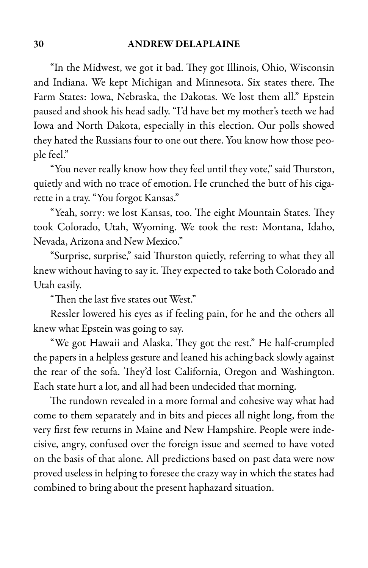"In the Midwest, we got it bad. They got Illinois, Ohio, Wisconsin and Indiana. We kept Michigan and Minnesota. Six states there. The Farm States: Iowa, Nebraska, the Dakotas. We lost them all." Epstein paused and shook his head sadly. "I'd have bet my mother's teeth we had Iowa and North Dakota, especially in this election. Our polls showed they hated the Russians four to one out there. You know how those people feel."

"You never really know how they feel until they vote," said Thurston, quietly and with no trace of emotion. He crunched the butt of his cigarette in a tray. "You forgot Kansas."

"Yeah, sorry: we lost Kansas, too. The eight Mountain States. They took Colorado, Utah, Wyoming. We took the rest: Montana, Idaho, Nevada, Arizona and New Mexico."

"Surprise, surprise," said Thurston quietly, referring to what they all knew without having to say it. They expected to take both Colorado and Utah easily.

"Then the last five states out West."

Ressler lowered his eyes as if feeling pain, for he and the others all knew what Epstein was going to say.

"We got Hawaii and Alaska. They got the rest." He half-crumpled the papers in a helpless gesture and leaned his aching back slowly against the rear of the sofa. They'd lost California, Oregon and Washington. Each state hurt a lot, and all had been undecided that morning.

The rundown revealed in a more formal and cohesive way what had come to them separately and in bits and pieces all night long, from the very first few returns in Maine and New Hampshire. People were indecisive, angry, confused over the foreign issue and seemed to have voted on the basis of that alone. All predictions based on past data were now proved useless in helping to foresee the crazy way in which the states had combined to bring about the present haphazard situation.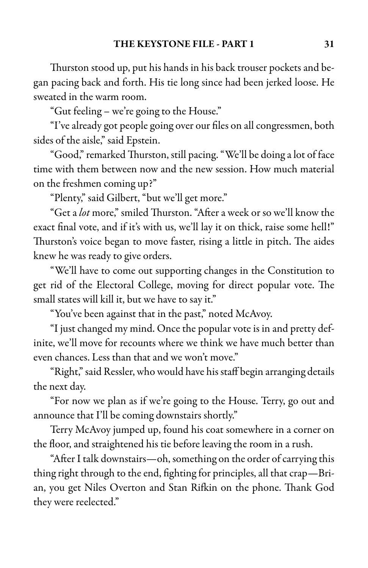Thurston stood up, put his hands in his back trouser pockets and began pacing back and forth. His tie long since had been jerked loose. He sweated in the warm room.

"Gut feeling – we're going to the House."

"I've already got people going over our files on all congressmen, both sides of the aisle," said Epstein.

"Good," remarked Thurston, still pacing. "We'll be doing a lot of face time with them between now and the new session. How much material on the freshmen coming up?"

"Plenty," said Gilbert, "but we'll get more."

"Get a lot more," smiled Thurston. "After a week or so we'll know the exact final vote, and if it's with us, we'll lay it on thick, raise some hell!" Thurston's voice began to move faster, rising a little in pitch. The aides knew he was ready to give orders.

"We'll have to come out supporting changes in the Constitution to get rid of the Electoral College, moving for direct popular vote. The small states will kill it, but we have to say it."

"You've been against that in the past," noted McAvoy.

"I just changed my mind. Once the popular vote is in and pretty definite, we'll move for recounts where we think we have much better than even chances. Less than that and we won't move."

"Right,"said Ressler, who would have his staff begin arranging details the next day.

"For now we plan as if we're going to the House. Terry, go out and announce that I'll be coming downstairs shortly."

Terry McAvoy jumped up, found his coat somewhere in a corner on the floor, and straightened his tie before leaving the room in a rush.

"After I talk downstairs-oh, something on the order of carrying this thing right through to the end, fighting for principles, all that crap—Brian, you get Niles Overton and Stan Rifkin on the phone. Thank God they were reelected."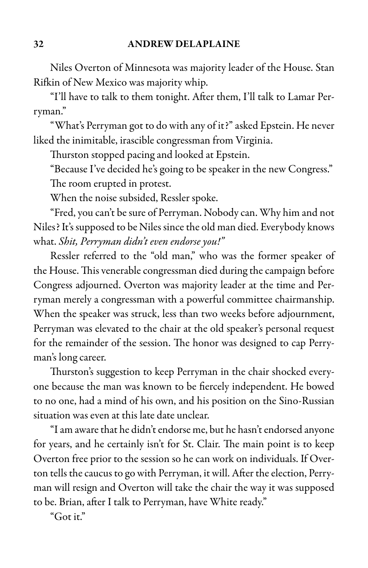Niles Overton of Minnesota was majority leader of the House. Stan Rifkin of New Mexico was majority whip.

"I'll have to talk to them tonight. After them, I'll talk to Lamar Perryman."

"What's Perryman got to do with any of it?"asked Epstein. He never liked the inimitable, irascible congressman from Virginia.

Thurston stopped pacing and looked at Epstein.

"Because I've decided he's going to be speaker in the new Congress." The room erupted in protest.

When the noise subsided, Ressler spoke.

"Fred, you can't be sure of Perryman. Nobody can. Why him and not Niles? It's supposed to be Niles since the old man died. Everybody knows what. Shit, Perryman didn't even endorse you!"

Ressler referred to the "old man," who was the former speaker of the House. This venerable congressman died during the campaign before Congress adjourned. Overton was majority leader at the time and Perryman merely a congressman with a powerful committee chairmanship. When the speaker was struck, less than two weeks before adjournment, Perryman was elevated to the chair at the old speaker's personal request for the remainder of the session. The honor was designed to cap Perryman's long career.

Thurston's suggestion to keep Perryman in the chair shocked everyone because the man was known to be fiercely independent. He bowed to no one, had a mind of his own, and his position on the Sino-Russian situation was even at this late date unclear.

"I am aware that he didn't endorse me, but he hasn't endorsed anyone for years, and he certainly isn't for St. Clair. The main point is to keep Overton free prior to the session so he can work on individuals. If Overton tells the caucus to go with Perryman, it will. After the election, Perryman will resign and Overton will take the chair the way it was supposed to be. Brian, after I talk to Perryman, have White ready."

"Got it."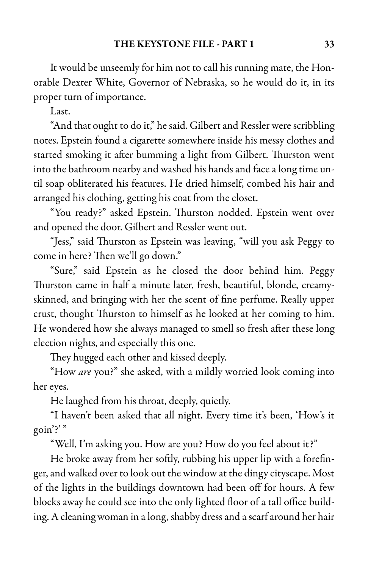It would be unseemly for him not to call his running mate, the Honorable Dexter White, Governor of Nebraska, so he would do it, in its proper turn of importance.

Last.

"And that ought to do it," he said. Gilbert and Ressler were scribbling notes. Epstein found a cigarette somewhere inside his messy clothes and started smoking it after bumming a light from Gilbert. Thurston went into the bathroom nearby and washed his hands and face a long time until soap obliterated his features. He dried himself, combed his hair and arranged his clothing, getting his coat from the closet.

"You ready?" asked Epstein. Thurston nodded. Epstein went over and opened the door. Gilbert and Ressler went out.

"Jess," said Thurston as Epstein was leaving, "will you ask Peggy to come in here? Then we'll go down."

"Sure," said Epstein as he closed the door behind him. Peggy Thurston came in half a minute later, fresh, beautiful, blonde, creamyskinned, and bringing with her the scent of fine perfume. Really upper crust, thought Thurston to himself as he looked at her coming to him. He wondered how she always managed to smell so fresh after these long election nights, and especially this one.

They hugged each other and kissed deeply.

"How are you?" she asked, with a mildly worried look coming into her eyes.

He laughed from his throat, deeply, quietly.

"I haven't been asked that all night. Every time it's been, 'How's it goin'?' "

"Well, I'm asking you. How are you? How do you feel about it?"

He broke away from her softly, rubbing his upper lip with a forefinger, and walked over to look out the window at the dingy cityscape. Most of the lights in the buildings downtown had been off for hours. A few blocks away he could see into the only lighted floor of a tall office building. A cleaning woman in a long, shabby dress and a scarf around her hair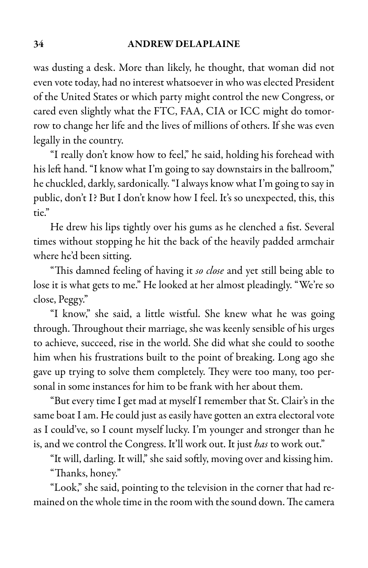was dusting a desk. More than likely, he thought, that woman did not even vote today, had no interest whatsoever in who was elected President of the United States or which party might control the new Congress, or cared even slightly what the FTC, FAA, CIA or ICC might do tomorrow to change her life and the lives of millions of others. If she was even legally in the country.

"I really don't know how to feel," he said, holding his forehead with his left hand. "I know what I'm going to say downstairs in the ballroom," he chuckled, darkly, sardonically. "I always know what I'm going to say in public, don't I? But I don't know how I feel. It's so unexpected, this, this tie"

He drew his lips tightly over his gums as he clenched a fist. Several times without stopping he hit the back of the heavily padded armchair where he'd been sitting.

"This damned feeling of having it so close and yet still being able to lose it is what gets to me." He looked at her almost pleadingly. "We're so close, Peggy."

"I know," she said, a little wistful. She knew what he was going through. Throughout their marriage, she was keenly sensible of his urges to achieve, succeed, rise in the world. She did what she could to soothe him when his frustrations built to the point of breaking. Long ago she gave up trying to solve them completely. They were too many, too personal in some instances for him to be frank with her about them.

"But every time I get mad at myself I remember that St. Clair's in the same boat I am. He could just as easily have gotten an extra electoral vote as I could've, so I count myself lucky. I'm younger and stronger than he is, and we control the Congress. It'll work out. It just has to work out."

"It will, darling. It will," she said softly, moving over and kissing him. "Thanks, honey."

"Look," she said, pointing to the television in the corner that had remained on the whole time in the room with the sound down. The camera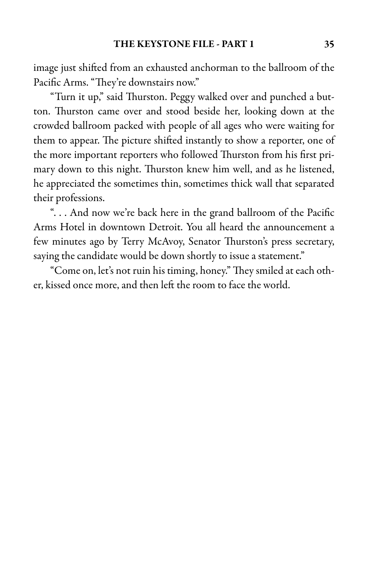image just shifted from an exhausted anchorman to the ballroom of the Pacific Arms. "They're downstairs now."

"Turn it up," said Thurston. Peggy walked over and punched a button. Thurston came over and stood beside her, looking down at the crowded ballroom packed with people of all ages who were waiting for them to appear. The picture shifted instantly to show a reporter, one of the more important reporters who followed Thurston from his first primary down to this night. Thurston knew him well, and as he listened, he appreciated the sometimes thin, sometimes thick wall that separated their professions.

". . . And now we're back here in the grand ballroom of the Pacific Arms Hotel in downtown Detroit. You all heard the announcement a few minutes ago by Terry McAvoy, Senator Thurston's press secretary, saying the candidate would be down shortly to issue a statement."

"Come on, let's not ruin his timing, honey." They smiled at each other, kissed once more, and then left the room to face the world.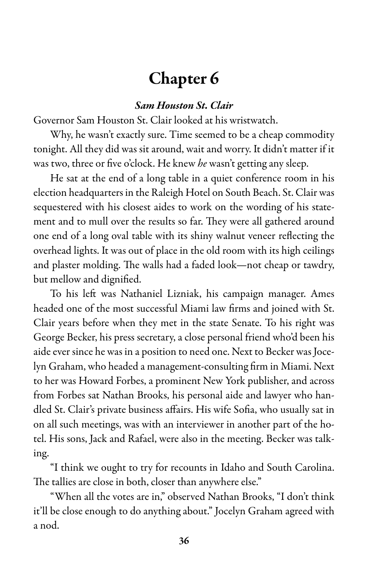# Chapter 6

### Sam Houston St. Clair

Governor Sam Houston St. Clair looked at his wristwatch.

Why, he wasn't exactly sure. Time seemed to be a cheap commodity tonight. All they did was sit around, wait and worry. It didn't matter if it was two, three or five o'clock. He knew he wasn't getting any sleep.

He sat at the end of a long table in a quiet conference room in his election headquarters in the Raleigh Hotel on South Beach. St. Clair was sequestered with his closest aides to work on the wording of his statement and to mull over the results so far. They were all gathered around one end of a long oval table with its shiny walnut veneer reflecting the overhead lights. It was out of place in the old room with its high ceilings and plaster molding. The walls had a faded look—not cheap or tawdry, but mellow and dignified.

To his left was Nathaniel Lizniak, his campaign manager. Ames headed one of the most successful Miami law firms and joined with St. Clair years before when they met in the state Senate. To his right was George Becker, his press secretary, a close personal friend who'd been his aide ever since he was in a position to need one. Next to Becker was Jocelyn Graham, who headed a management-consulting firm in Miami. Next to her was Howard Forbes, a prominent New York publisher, and across from Forbes sat Nathan Brooks, his personal aide and lawyer who handled St. Clair's private business affairs. His wife Sofia, who usually sat in on all such meetings, was with an interviewer in another part of the hotel. His sons, Jack and Rafael, were also in the meeting. Becker was talking.

"I think we ought to try for recounts in Idaho and South Carolina. The tallies are close in both, closer than anywhere else."

"When all the votes are in," observed Nathan Brooks, "I don't think it'll be close enough to do anything about." Jocelyn Graham agreed with a nod.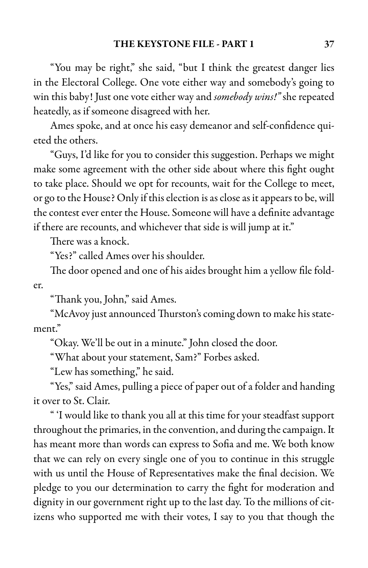"You may be right," she said, "but I think the greatest danger lies in the Electoral College. One vote either way and somebody's going to win this baby! Just one vote either way and somebody wins!" she repeated heatedly, as if someone disagreed with her.

Ames spoke, and at once his easy demeanor and self-confidence quieted the others.

"Guys, I'd like for you to consider this suggestion. Perhaps we might make some agreement with the other side about where this fight ought to take place. Should we opt for recounts, wait for the College to meet, or go to the House? Only if thiselection isascloseas itappears to be, will the contest ever enter the House. Someone will have a definite advantage if there are recounts, and whichever that side is will jump at it."

There was a knock.

"Yes?" called Ames over his shoulder.

The door opened and one of his aides brought him a yellow file fold-

er.

"Thank you, John," said Ames.

"McAvoy just announced Thurston's coming down to make his statement."

"Okay. We'll be out in a minute." John closed the door.

"What about your statement, Sam?" Forbes asked.

"Lew has something," he said.

"Yes," said Ames, pulling a piece of paper out of a folder and handing it over to St. Clair.

" I would like to thank you all at this time for your steadfast support throughout the primaries, in the convention, and during the campaign. It has meant more than words can express to Sofia and me. We both know that we can rely on every single one of you to continue in this struggle with us until the House of Representatives make the final decision. We pledge to you our determination to carry the fight for moderation and dignity in our government right up to the last day. To the millions of citizens who supported me with their votes, I say to you that though the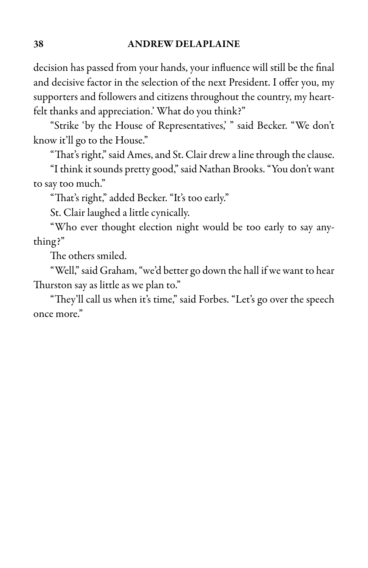decision has passed from your hands, your influence will still be the final and decisive factor in the selection of the next President. I offer you, my supporters and followers and citizens throughout the country, my heartfelt thanks and appreciation.' What do you think?"

"Strike 'by the House of Representatives,' " said Becker. "We don't know it'll go to the House."

"That's right," said Ames, and St. Clair drew a line through the clause.

"I think it sounds pretty good," said Nathan Brooks. "You don't want to say too much."

"That's right," added Becker. "It's too early."

St. Clair laughed a little cynically.

"Who ever thought election night would be too early to say anything?"

The others smiled.

"Well,"said Graham,"we'd better go down the hall if we want to hear Thurston say as little as we plan to."

"They'll call us when it's time," said Forbes. "Let's go over the speech once more."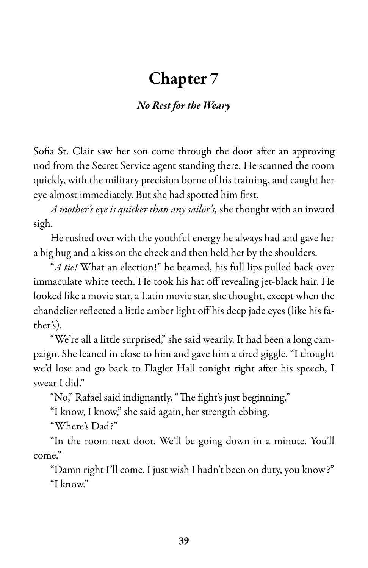## No Rest for the Weary

Sofia St. Clair saw her son come through the door after an approving nod from the Secret Service agent standing there. He scanned the room quickly, with the military precision borne of his training, and caught her eye almost immediately. But she had spotted him first.

A mother's eye is quicker than any sailor's, she thought with an inward sigh.

He rushed over with the youthful energy he always had and gave her a big hug and a kiss on the cheek and then held her by the shoulders.

"A tie! What an election!" he beamed, his full lips pulled back over immaculate white teeth. He took his hat off revealing jet-black hair. He looked like a movie star, a Latin movie star, she thought, except when the chandelier reflected a little amber light off his deep jade eyes (like his father's).

"We're all a little surprised," she said wearily. It had been a long campaign. She leaned in close to him and gave him a tired giggle. "I thought we'd lose and go back to Flagler Hall tonight right after his speech, I swear I did."

"No," Rafael said indignantly. "The fight's just beginning."

"I know, I know," she said again, her strength ebbing.

"Where's Dad?"

"In the room next door. We'll be going down in a minute. You'll come."

"Damn right I'll come. I just wish I hadn't been on duty, you know?" "I know."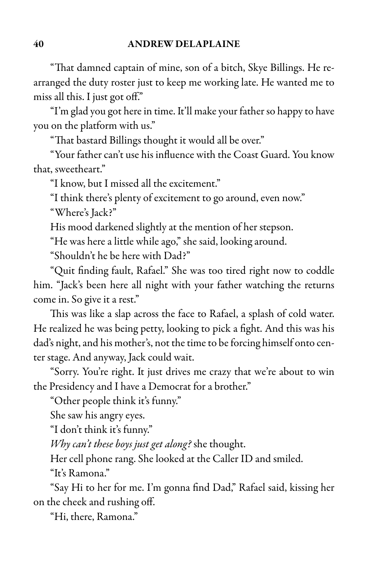"That damned captain of mine, son of a bitch, Skye Billings. He rearranged the duty roster just to keep me working late. He wanted me to miss all this. I just got off."

"I'm glad you got here in time. It'll make your father so happy to have you on the platform with us."

"That bastard Billings thought it would all be over."

"Your father can't use his influence with the Coast Guard. You know that, sweetheart."

"I know, but I missed all the excitement."

"I think there's plenty of excitement to go around, even now."

"Where's Jack?"

His mood darkened slightly at the mention of her stepson.

"He was here a little while ago," she said, looking around.

"Shouldn't he be here with Dad?"

"Quit finding fault, Rafael." She was too tired right now to coddle him. "Jack's been here all night with your father watching the returns come in. So give it a rest."

This was like a slap across the face to Rafael, a splash of cold water. He realized he was being petty, looking to pick a fight. And this was his dad's night, and his mother's, not the time to be forcing himself onto center stage. And anyway, Jack could wait.

"Sorry. You're right. It just drives me crazy that we're about to win the Presidency and I have a Democrat for a brother."

"Other people think it's funny."

She saw his angry eyes.

"I don't think it's funny."

Why can't these boys just get along? she thought.

Her cell phone rang. She looked at the Caller ID and smiled.

"It's Ramona."

"Say Hi to her for me. I'm gonna find Dad," Rafael said, kissing her on the cheek and rushing off.

"Hi, there, Ramona."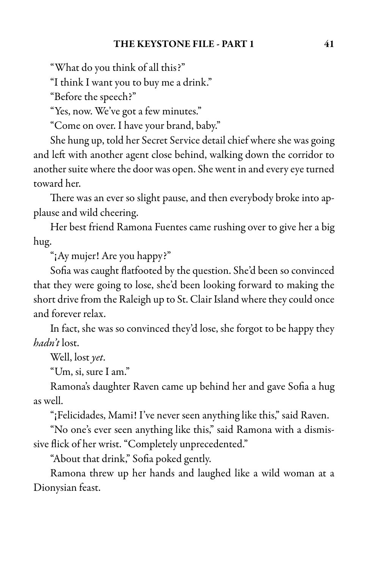"What do you think of all this?"

"I think I want you to buy me a drink."

"Before the speech?"

"Yes, now. We've got a few minutes."

"Come on over. I have your brand, baby."

She hung up, told her Secret Service detail chief where she was going and left with another agent close behind, walking down the corridor to another suite where the door was open. She went in and every eye turned toward her.

There was an ever so slight pause, and then everybody broke into applause and wild cheering.

Her best friend Ramona Fuentes came rushing over to give her a big hug.

"¡Ay mujer! Are you happy?"

Sofia was caught flatfooted by the question. She'd been so convinced that they were going to lose, she'd been looking forward to making the short drive from the Raleigh up to St. Clair Island where they could once and forever relax.

In fact, she was so convinced they'd lose, she forgot to be happy they hadn't lost.

Well, lost yet.

"Um, si, sure I am."

Ramona's daughter Raven came up behind her and gave Sofia a hug as well.

"¡Felicidades, Mami! I've never seen anything like this," said Raven.

"No one's ever seen anything like this," said Ramona with a dismissive flick of her wrist. "Completely unprecedented."

"About that drink," Sofia poked gently.

Ramona threw up her hands and laughed like a wild woman at a Dionysian feast.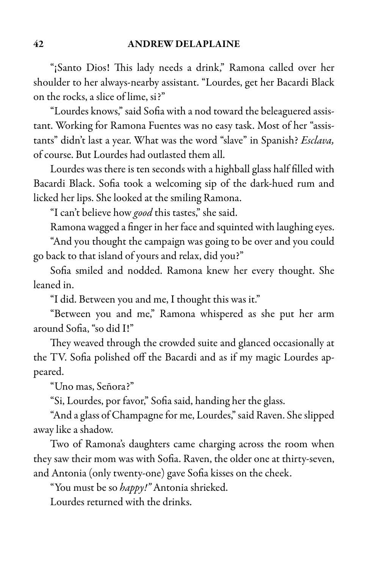"¡Santo Dios! This lady needs a drink," Ramona called over her shoulder to her always-nearby assistant. "Lourdes, get her Bacardi Black on the rocks, a slice of lime, si?"

"Lourdes knows," said Sofia with a nod toward the beleaguered assistant. Working for Ramona Fuentes was no easy task. Most of her "assistants" didn't last a year. What was the word "slave" in Spanish? Esclava, of course. But Lourdes had outlasted them all.

Lourdes was there is ten seconds with a highball glass half filled with Bacardi Black. Sofia took a welcoming sip of the dark-hued rum and licked her lips. She looked at the smiling Ramona.

"I can't believe how good this tastes," she said.

Ramona wagged a finger in her face and squinted with laughing eyes.

"And you thought the campaign was going to be over and you could go back to that island of yours and relax, did you?"

Sofia smiled and nodded. Ramona knew her every thought. She leaned in.

"I did. Between you and me, I thought this was it."

"Between you and me," Ramona whispered as she put her arm around Sofia, "so did I!"

They weaved through the crowded suite and glanced occasionally at the TV. Sofia polished off the Bacardi and as if my magic Lourdes appeared.

"Uno mas, Señora?"

"Si, Lourdes, por favor," Sofia said, handing her the glass.

"And a glass of Champagne for me, Lourdes," said Raven. She slipped away like a shadow.

Two of Ramona's daughters came charging across the room when they saw their mom was with Sofia. Raven, the older one at thirty-seven, and Antonia (only twenty-one) gave Sofia kisses on the cheek.

"You must be so happy!" Antonia shrieked.

Lourdes returned with the drinks.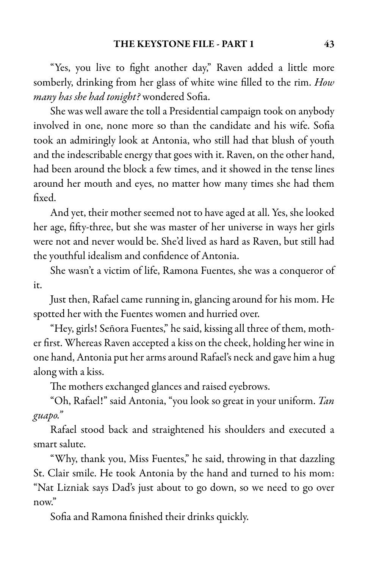"Yes, you live to fight another day," Raven added a little more somberly, drinking from her glass of white wine filled to the rim. How many has she had tonight? wondered Sofia.

She was well aware the toll a Presidential campaign took on anybody involved in one, none more so than the candidate and his wife. Sofia took an admiringly look at Antonia, who still had that blush of youth and the indescribable energy that goes with it. Raven, on the other hand, had been around the block a few times, and it showed in the tense lines around her mouth and eyes, no matter how many times she had them fixed.

And yet, their mother seemed not to have aged at all. Yes, she looked her age, fifty-three, but she was master of her universe in ways her girls were not and never would be. She'd lived as hard as Raven, but still had the youthful idealism and confidence of Antonia.

She wasn't a victim of life, Ramona Fuentes, she was a conqueror of it.

Just then, Rafael came running in, glancing around for his mom. He spotted her with the Fuentes women and hurried over.

"Hey, girls! Señora Fuentes," he said, kissing all three of them, mother first. Whereas Raven accepted a kiss on the cheek, holding her wine in one hand, Antonia put her arms around Rafael's neck and gave him a hug along with a kiss.

The mothers exchanged glances and raised eyebrows.

"Oh, Rafael!" said Antonia, "you look so great in your uniform. Tan guapo."

Rafael stood back and straightened his shoulders and executed a smart salute.

"Why, thank you, Miss Fuentes," he said, throwing in that dazzling St. Clair smile. He took Antonia by the hand and turned to his mom: "Nat Lizniak says Dad's just about to go down, so we need to go over now."

Sofia and Ramona finished their drinks quickly.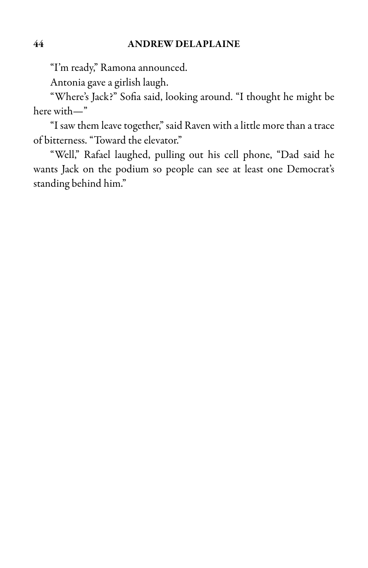"I'm ready," Ramona announced.

Antonia gave a girlish laugh.

"Where's Jack?" Sofia said, looking around. "I thought he might be here with—"

"I saw them leave together," said Raven with a little more than a trace of bitterness. "Toward the elevator."

"Well," Rafael laughed, pulling out his cell phone, "Dad said he wants Jack on the podium so people can see at least one Democrat's standing behind him."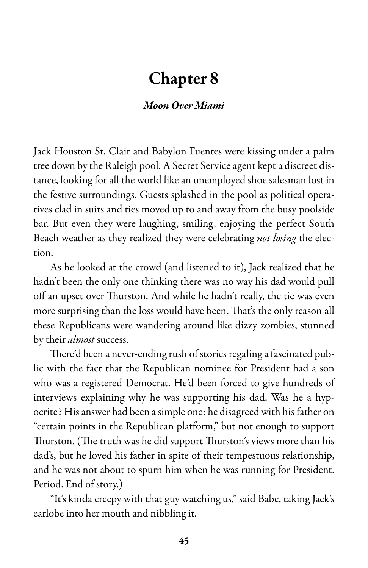### Moon Over Miami

Jack Houston St. Clair and Babylon Fuentes were kissing under a palm tree down by the Raleigh pool. A Secret Service agent kept a discreet distance, looking for all the world like an unemployed shoe salesman lost in the festive surroundings. Guests splashed in the pool as political operatives clad in suits and ties moved up to and away from the busy poolside bar. But even they were laughing, smiling, enjoying the perfect South Beach weather as they realized they were celebrating not losing the election.

As he looked at the crowd (and listened to it), Jack realized that he hadn't been the only one thinking there was no way his dad would pull off an upset over Thurston. And while he hadn't really, the tie was even more surprising than the loss would have been. That's the only reason all these Republicans were wandering around like dizzy zombies, stunned by their *almost* success.

There'd been a never-ending rush of stories regaling a fascinated public with the fact that the Republican nominee for President had a son who was a registered Democrat. He'd been forced to give hundreds of interviews explaining why he was supporting his dad. Was he a hypocrite? Hisanswer had been asimple one: he disagreed with his father on "certain points in the Republican platform," but not enough to support Thurston. (The truth was he did support Thurston's views more than his dad's, but he loved his father in spite of their tempestuous relationship, and he was not about to spurn him when he was running for President. Period. End of story.)

"It's kinda creepy with that guy watching us," said Babe, taking Jack's earlobe into her mouth and nibbling it.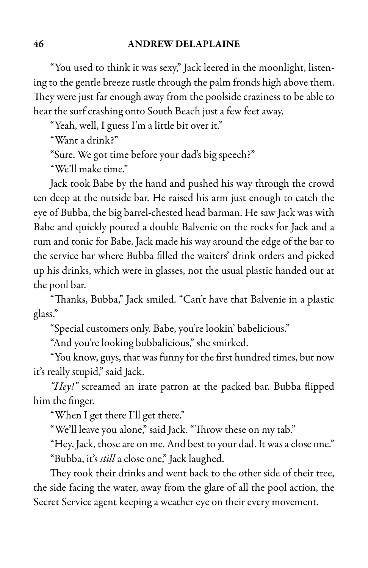"You used to think it was sexy," Jack leered in the moonlight, listening to the gentle breeze rustle through the palm fronds high above them. They were just far enough away from the poolside craziness to be able to hear the surf crashing onto South Beach just a few feet away.

"Yeah, well, I guess I'm a little bit over it."

"Want a drink?"

"Sure. We got time before your dad's big speech?"

"We'll make time."

Jack took Babe by the hand and pushed his way through the crowd ten deep at the outside bar. He raised his arm just enough to catch the eye of Bubba, the big barrel-chested head barman. He saw Jack was with Babe and quickly poured a double Balvenie on the rocks for Jack and a rum and tonic for Babe. Jack made his way around the edge of the bar to the service bar where Bubba filled the waiters' drink orders and picked up his drinks, which were in glasses, not the usual plastic handed out at the pool bar.

"Thanks, Bubba," Jack smiled. "Can't have that Balvenie in a plastic glass."

"Special customers only. Babe, you're lookin' babelicious."

"And you're looking bubbalicious," she smirked.

"You know, guys, that was funny for the first hundred times, but now it's really stupid," said Jack.

"Hey!" screamed an irate patron at the packed bar. Bubba flipped him the finger.

"When I get there I'll get there."

"We'll leave you alone," said Jack. "Throw these on my tab."

"Hey, Jack, those are on me. And best to your dad. It was a close one." "Bubba, it's still a close one," Jack laughed.

They took their drinks and went back to the other side of their tree, the side facing the water, away from the glare of all the pool action, the Secret Service agent keeping a weather eye on their every movement.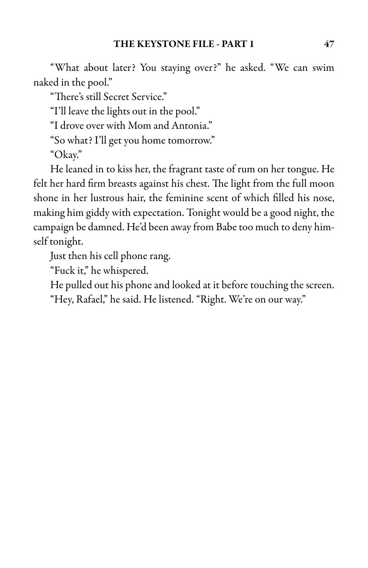"What about later? You staying over?" he asked. "We can swim naked in the pool."

"There's still Secret Service."

"I'll leave the lights out in the pool."

"I drove over with Mom and Antonia."

"So what? I'll get you home tomorrow."

"Okay."

He leaned in to kiss her, the fragrant taste of rum on her tongue. He felt her hard firm breasts against his chest. The light from the full moon shone in her lustrous hair, the feminine scent of which filled his nose, making him giddy with expectation. Tonight would be a good night, the campaign be damned. He'd been away from Babe too much to deny himself tonight.

Just then his cell phone rang.

"Fuck it," he whispered.

He pulled out his phone and looked at it before touching the screen.

"Hey, Rafael," he said. He listened. "Right. We're on our way."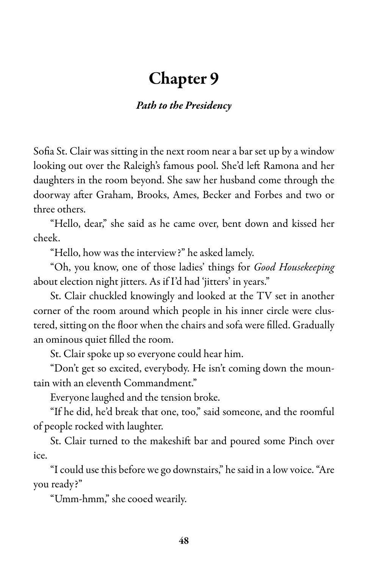### Path to the Presidency

Sofia St. Clair was sitting in the next room neara bar set up by a window looking out over the Raleigh's famous pool. She'd left Ramona and her daughters in the room beyond. She saw her husband come through the doorway after Graham, Brooks, Ames, Becker and Forbes and two or three others.

"Hello, dear," she said as he came over, bent down and kissed her cheek.

"Hello, how was the interview?" he asked lamely.

"Oh, you know, one of those ladies' things for Good Housekeeping about election night jitters. As if I'd had 'jitters' in years."

St. Clair chuckled knowingly and looked at the TV set in another corner of the room around which people in his inner circle were clustered, sitting on the floor when the chairs and sofa were filled. Gradually an ominous quiet filled the room.

St. Clair spoke up so everyone could hear him.

"Don't get so excited, everybody. He isn't coming down the mountain with an eleventh Commandment."

Everyone laughed and the tension broke.

"If he did, he'd break that one, too," said someone, and the roomful of people rocked with laughter.

St. Clair turned to the makeshift bar and poured some Pinch over ice.

"Icould usethis before we go downstairs," hesaid in alow voice."Are you ready?"

"Umm-hmm," she cooed wearily.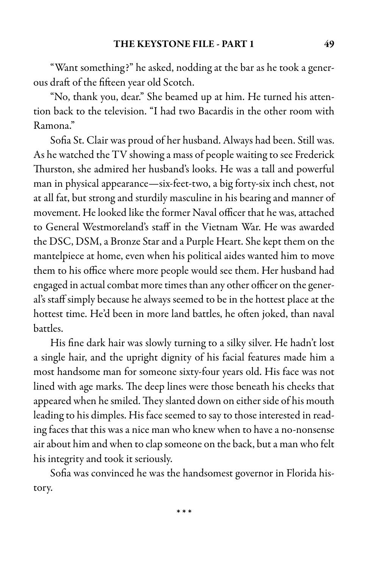"Want something?" he asked, nodding at the bar as he took a generous draft of the fifteen year old Scotch.

"No, thank you, dear." She beamed up at him. He turned his attention back to the television. "I had two Bacardis in the other room with Ramona."

Sofia St. Clair was proud of her husband. Always had been. Still was. As he watched the TV showing a mass of people waiting to see Frederick Thurston, she admired her husband's looks. He was a tall and powerful man in physical appearance—six-feet-two, a big forty-six inch chest, not at all fat, but strong and sturdily masculine in his bearing and manner of movement. He looked like the former Naval officer that he was, attached to General Westmoreland's staff in the Vietnam War. He was awarded the DSC, DSM, a Bronze Star and a Purple Heart. She kept them on the mantelpiece at home, even when his political aides wanted him to move them to his office where more people would see them. Her husband had engaged in actual combat more times than any other officer on the general's staff simply because he always seemed to be in the hottest place at the hottest time. He'd been in more land battles, he often joked, than naval battles.

His fine dark hair was slowly turning to a silky silver. He hadn't lost a single hair, and the upright dignity of his facial features made him a most handsome man for someone sixty-four years old. His face was not lined with age marks. The deep lines were those beneath his cheeks that appeared when he smiled. They slanted down on either side of his mouth leading to his dimples. His face seemed to say to those interested in reading faces that this was a nice man who knew when to have a no-nonsense air about him and when to clap someone on the back, but a man who felt his integrity and took it seriously.

Sofia was convinced he was the handsomest governor in Florida history.

\* \* \*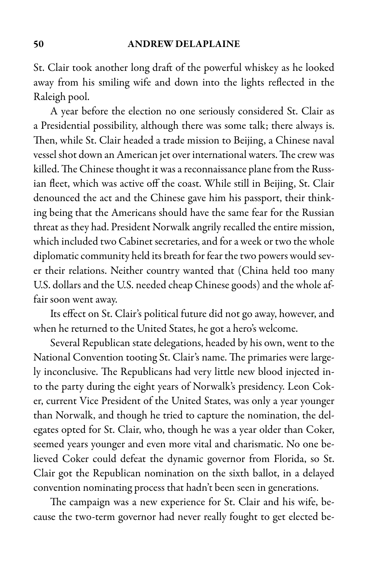#### 50 ANDREW DELAPLAINE

St. Clair took another long draft of the powerful whiskey as he looked away from his smiling wife and down into the lights reflected in the Raleigh pool.

A year before the election no one seriously considered St. Clair as a Presidential possibility, although there was some talk; there always is. Then, while St. Clair headed a trade mission to Beijing, a Chinese naval vessel shot down an American jet over international waters. The crew was killed. The Chinese thought it was a reconnaissance plane from the Russian fleet, which was active off the coast. While still in Beijing, St. Clair denounced the act and the Chinese gave him his passport, their thinking being that the Americans should have the same fear for the Russian threat as they had. President Norwalk angrily recalled the entire mission, which included two Cabinet secretaries, and for a week or two the whole diplomatic community held its breath for fear the two powers would sever their relations. Neither country wanted that (China held too many U.S. dollars and the U.S. needed cheap Chinese goods) and the whole affair soon went away.

Its effect on St. Clair's political future did not go away, however, and when he returned to the United States, he got a hero's welcome.

Several Republican state delegations, headed by his own, went to the National Convention tooting St. Clair's name. The primaries were largely inconclusive. The Republicans had very little new blood injected into the party during the eight years of Norwalk's presidency. Leon Coker, current Vice President of the United States, was only a year younger than Norwalk, and though he tried to capture the nomination, the delegates opted for St. Clair, who, though he was a year older than Coker, seemed years younger and even more vital and charismatic. No one believed Coker could defeat the dynamic governor from Florida, so St. Clair got the Republican nomination on the sixth ballot, in a delayed convention nominating process that hadn't been seen in generations.

The campaign was a new experience for St. Clair and his wife, because the two-term governor had never really fought to get elected be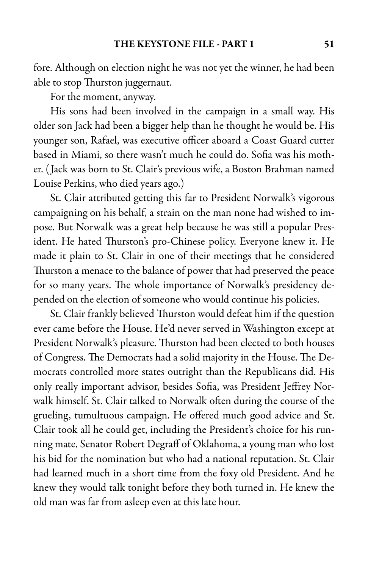fore. Although on election night he was not yet the winner, he had been able to stop Thurston juggernaut.

For the moment, anyway.

His sons had been involved in the campaign in a small way. His older son Jack had been a bigger help than he thought he would be. His younger son, Rafael, was executive officer aboard a Coast Guard cutter based in Miami, so there wasn't much he could do. Sofia was his mother. (Jack was born to St. Clair's previous wife, a Boston Brahman named Louise Perkins, who died years ago.)

St. Clair attributed getting this far to President Norwalk's vigorous campaigning on his behalf, a strain on the man none had wished to impose. But Norwalk was a great help because he was still a popular President. He hated Thurston's pro-Chinese policy. Everyone knew it. He made it plain to St. Clair in one of their meetings that he considered Thurston a menace to the balance of power that had preserved the peace for so many years. The whole importance of Norwalk's presidency depended on the election of someone who would continue his policies.

St. Clair frankly believed Thurston would defeat him if the question ever came before the House. He'd never served in Washington except at President Norwalk's pleasure. Thurston had been elected to both houses of Congress. The Democrats had a solid majority in the House. The Democrats controlled more states outright than the Republicans did. His only really important advisor, besides Sofia, was President Jeffrey Norwalk himself. St. Clair talked to Norwalk often during the course of the grueling, tumultuous campaign. He offered much good advice and St. Clair took all he could get, including the President's choice for his running mate, Senator Robert Degraff of Oklahoma, a young man who lost his bid for the nomination but who had a national reputation. St. Clair had learned much in a short time from the foxy old President. And he knew they would talk tonight before they both turned in. He knew the old man was far from asleep even at this late hour.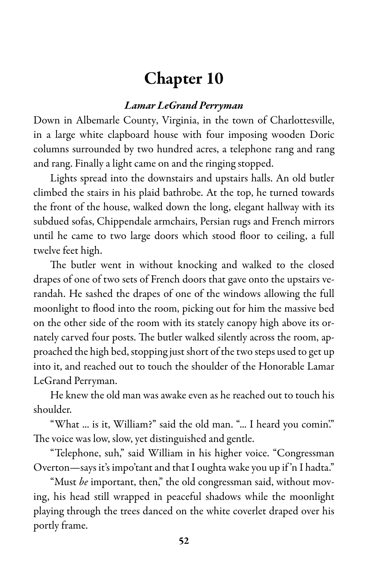### Lamar LeGrand Perryman

Down in Albemarle County, Virginia, in the town of Charlottesville, in a large white clapboard house with four imposing wooden Doric columns surrounded by two hundred acres, a telephone rang and rang and rang. Finally a light came on and the ringing stopped.

Lights spread into the downstairs and upstairs halls. An old butler climbed the stairs in his plaid bathrobe. At the top, he turned towards the front of the house, walked down the long, elegant hallway with its subdued sofas, Chippendale armchairs, Persian rugs and French mirrors until he came to two large doors which stood floor to ceiling, a full twelve feet high.

The butler went in without knocking and walked to the closed drapes of one of two sets of French doors that gave onto the upstairs verandah. He sashed the drapes of one of the windows allowing the full moonlight to flood into the room, picking out for him the massive bed on the other side of the room with its stately canopy high above its ornately carved four posts. The butler walked silently across the room, approached the high bed, stopping just short of the two steps used to get up into it, and reached out to touch the shoulder of the Honorable Lamar LeGrand Perryman.

He knew the old man was awake even as he reached out to touch his shoulder.

"What ... is it, William?" said the old man. "... I heard you comin'." The voice was low, slow, yet distinguished and gentle.

"Telephone, suh," said William in his higher voice. "Congressman Overton—says it's impo'tant and that I oughta wake you up if 'n I hadta."

"Must be important, then," the old congressman said, without moving, his head still wrapped in peaceful shadows while the moonlight playing through the trees danced on the white coverlet draped over his portly frame.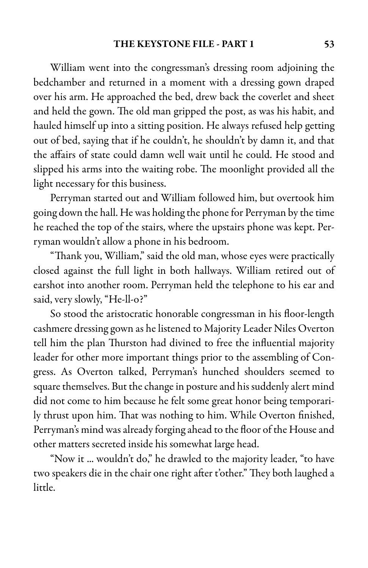William went into the congressman's dressing room adjoining the bedchamber and returned in a moment with a dressing gown draped over his arm. He approached the bed, drew back the coverlet and sheet and held the gown. The old man gripped the post, as was his habit, and hauled himself up into a sitting position. He always refused help getting out of bed, saying that if he couldn't, he shouldn't by damn it, and that the affairs of state could damn well wait until he could. He stood and slipped his arms into the waiting robe. The moonlight provided all the light necessary for this business.

Perryman started out and William followed him, but overtook him going down the hall. He was holding the phone for Perryman by the time he reached the top of the stairs, where the upstairs phone was kept. Perryman wouldn't allow a phone in his bedroom.

"Thank you, William," said the old man, whose eyes were practically closed against the full light in both hallways. William retired out of earshot into another room. Perryman held the telephone to his ear and said, very slowly, "He-ll-o?"

So stood the aristocratic honorable congressman in his floor-length cashmere dressing gown as helistened to Majority Leader Niles Overton tell him the plan Thurston had divined to free the influential majority leader for other more important things prior to the assembling of Congress. As Overton talked, Perryman's hunched shoulders seemed to square themselves. But the change in posture and his suddenly alert mind did not come to him because he felt some great honor being temporarily thrust upon him. That was nothing to him. While Overton finished, Perryman's mind was already forging ahead to the floor of the House and other matters secreted inside his somewhat large head.

"Now it ... wouldn't do," he drawled to the majority leader, "to have two speakers die in the chair one right after t'other." They both laughed a little.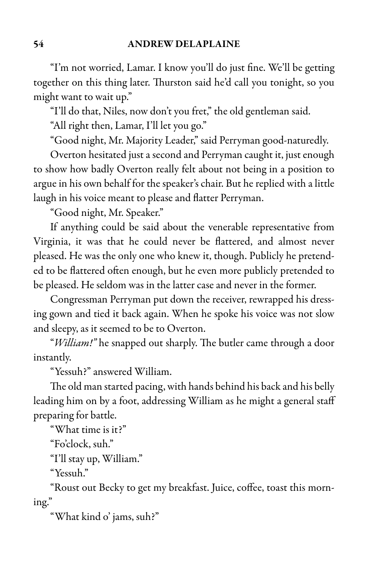"I'm not worried, Lamar. I know you'll do just fine. We'll be getting together on this thing later. Thurston said he'd call you tonight, so you might want to wait up."

"I'll do that, Niles, now don't you fret," the old gentleman said.

"All right then, Lamar, I'll let you go."

"Good night, Mr. Majority Leader," said Perryman good-naturedly.

Overton hesitated just a second and Perryman caught it, just enough to show how badly Overton really felt about not being in a position to argue in his own behalf for the speaker's chair. But he replied with a little laugh in his voice meant to please and flatter Perryman.

"Good night, Mr. Speaker."

If anything could be said about the venerable representative from Virginia, it was that he could never be flattered, and almost never pleased. He was the only one who knew it, though. Publicly he pretended to be flattered often enough, but he even more publicly pretended to be pleased. He seldom was in the latter case and never in the former.

Congressman Perryman put down the receiver, rewrapped his dressing gown and tied it back again. When he spoke his voice was not slow and sleepy, as it seemed to be to Overton.

"William!" he snapped out sharply. The butler came through a door instantly.

"Yessuh?" answered William.

The old man started pacing, with hands behind his back and his belly leading him on by a foot, addressing William as he might a general staff preparing for battle.

"What time is it?"

"Fo'clock, suh."

"I'll stay up, William."

"Yessuh."

"Roust out Becky to get my breakfast. Juice, coffee, toast this morning."

"What kind o' jams, suh?"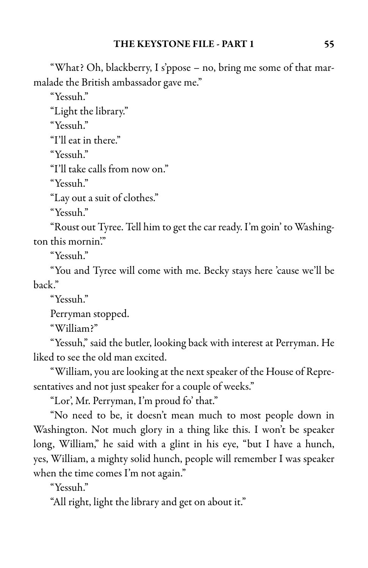"What? Oh, blackberry, I s'ppose – no, bring me some of that marmalade the British ambassador gave me."

"Yessuh."

"Light the library."

"Yessuh."

"I'll eat in there."

"Yessuh."

"I'll take calls from now on."

"Yessuh."

"Lay out a suit of clothes."

"Yessuh."

"Roust out Tyree. Tell him to get thecar ready. I'm goin' to Washington this mornin'."

"Yessuh."

"You and Tyree will come with me. Becky stays here 'cause we'll be back."

"Yessuh."

Perryman stopped.

"William?"

"Yessuh," said the butler, looking back with interest at Perryman. He liked to see the old man excited.

"William, you are looking at the next speaker of the House of Representatives and not just speaker for a couple of weeks."

"Lor', Mr. Perryman, I'm proud fo' that."

"No need to be, it doesn't mean much to most people down in Washington. Not much glory in a thing like this. I won't be speaker long, William," he said with a glint in his eye, "but I have a hunch, yes, William, a mighty solid hunch, people will remember I was speaker when the time comes I'm not again."

"Yessuh."

"All right, light the library and get on about it."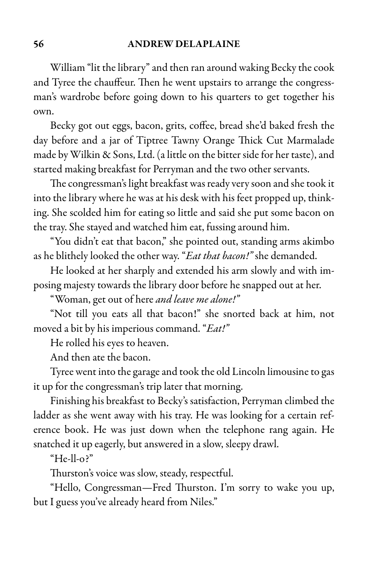### 56 ANDREW DELAPLAINE

William "lit the library" and then ran around waking Becky the cook and Tyree the chauffeur. Then he went upstairs to arrange the congressman's wardrobe before going down to his quarters to get together his own.

Becky got out eggs, bacon, grits, coffee, bread she'd baked fresh the day before and a jar of Tiptree Tawny Orange Thick Cut Marmalade made by Wilkin & Sons, Ltd. (a little on the bitter side for her taste), and started making breakfast for Perryman and the two other servants.

The congressman's light breakfast was ready very soon and she took it into the library where he was at his desk with his feet propped up, thinking. She scolded him for eating so little and said she put some bacon on the tray. She stayed and watched him eat, fussing around him.

"You didn't eat that bacon," she pointed out, standing arms akimbo as he blithely looked the other way. "Eat that bacon!" she demanded.

He looked at her sharply and extended his arm slowly and with imposing majesty towards the library door before he snapped out at her.

"Woman, get out of here and leave me alone!"

"Not till you eats all that bacon!" she snorted back at him, not moved a bit by his imperious command. "Eat!"

He rolled his eyes to heaven.

And then ate the bacon.

Tyree went into the garage and took the old Lincoln limousine to gas it up for the congressman's trip later that morning.

Finishing his breakfast to Becky's satisfaction, Perryman climbed the ladder as she went away with his tray. He was looking for a certain reference book. He was just down when the telephone rang again. He snatched it up eagerly, but answered in a slow, sleepy drawl.

 $H_{e}$ -ll-o?"

Thurston's voice was slow, steady, respectful.

"Hello, Congressman—Fred Thurston. I'm sorry to wake you up, but I guess you've already heard from Niles."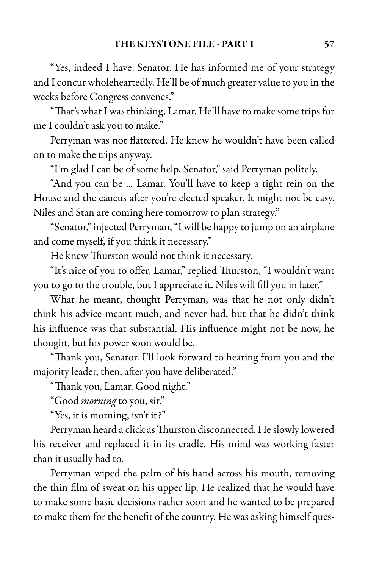"Yes, indeed I have, Senator. He has informed me of your strategy and I concur wholeheartedly. He'll be of much greater value to you in the weeks before Congress convenes."

"That's what I was thinking, Lamar. He'll have to make some trips for me I couldn't ask you to make."

Perryman was not flattered. He knew he wouldn't have been called on to make the trips anyway.

"I'm glad I can be of some help, Senator," said Perryman politely.

"And you can be ... Lamar. You'll have to keep a tight rein on the House and the caucus after you're elected speaker. It might not be easy. Niles and Stan are coming here tomorrow to plan strategy."

"Senator,"injected Perryman,"I will be happy to jumpon an airplane and come myself, if you think it necessary."

He knew Thurston would not think it necessary.

"It's nice of you to offer, Lamar," replied Thurston, "I wouldn't want you to go to the trouble, but I appreciate it. Niles will fill you in later."

What he meant, thought Perryman, was that he not only didn't think his advice meant much, and never had, but that he didn't think his influence was that substantial. His influence might not be now, he thought, but his power soon would be.

"Thank you, Senator. I'll look forward to hearing from you and the majority leader, then, after you have deliberated."

"Thank you, Lamar. Good night."

"Good *morning* to you, sir."

"Yes, it is morning, isn't it?"

Perryman heard a click as Thurston disconnected. He slowly lowered his receiver and replaced it in its cradle. His mind was working faster than it usually had to.

Perryman wiped the palm of his hand across his mouth, removing the thin film of sweat on his upper lip. He realized that he would have to make some basic decisions rather soon and he wanted to be prepared to make them for the benefit of the country. He was asking himself ques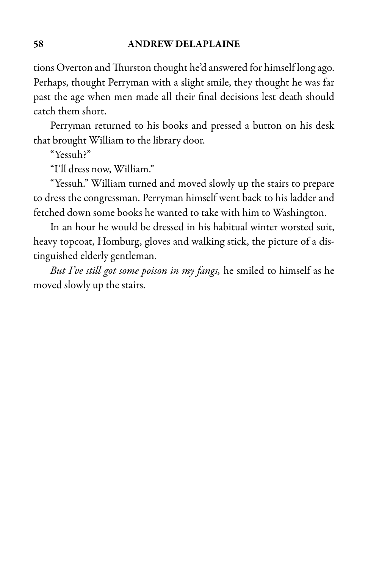tions Overton and Thurston thought he'd answered for himself long ago. Perhaps, thought Perryman with a slight smile, they thought he was far past the age when men made all their final decisions lest death should catch them short.

Perryman returned to his books and pressed a button on his desk that brought William to the library door.

"Yessuh?"

"I'll dress now, William."

"Yessuh." William turned and moved slowly up the stairs to prepare to dress the congressman. Perryman himself went back to his ladder and fetched down some books he wanted to take with him to Washington.

In an hour he would be dressed in his habitual winter worsted suit, heavy topcoat, Homburg, gloves and walking stick, the picture of a distinguished elderly gentleman.

But I've still got some poison in my fangs, he smiled to himself as he moved slowly up the stairs.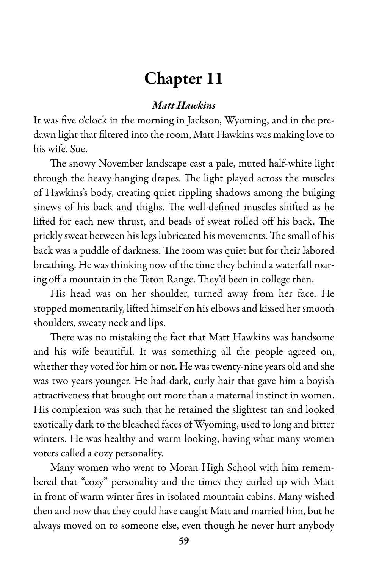### Matt Hawkins

It was five o'clock in the morning in Jackson, Wyoming, and in the predawn light that filtered into the room, Matt Hawkins was making love to his wife, Sue.

The snowy November landscape cast a pale, muted half-white light through the heavy-hanging drapes. The light played across the muscles of Hawkins's body, creating quiet rippling shadows among the bulging sinews of his back and thighs. The well-defined muscles shifted as he lifted for each new thrust, and beads of sweat rolled off his back. The prickly sweat between his legs lubricated his movements. The small of his back was a puddle of darkness. The room was quiet but for their labored breathing. He was thinking now of the time they behind a waterfall roaring off a mountain in the Teton Range. They'd been in college then.

His head was on her shoulder, turned away from her face. He stopped momentarily, lifted himself on his elbows and kissed her smooth shoulders, sweaty neck and lips.

There was no mistaking the fact that Matt Hawkins was handsome and his wife beautiful. It was something all the people agreed on, whether they voted for him or not. He was twenty-nine years old and she was two years younger. He had dark, curly hair that gave him a boyish attractiveness that brought out more than a maternal instinct in women. His complexion was such that he retained the slightest tan and looked exotically dark to the bleached faces of Wyoming, used to long and bitter winters. He was healthy and warm looking, having what many women voters called a cozy personality.

Many women who went to Moran High School with him remembered that "cozy" personality and the times they curled up with Matt in front of warm winter fires in isolated mountain cabins. Many wished then and now that they could have caught Matt and married him, but he always moved on to someone else, even though he never hurt anybody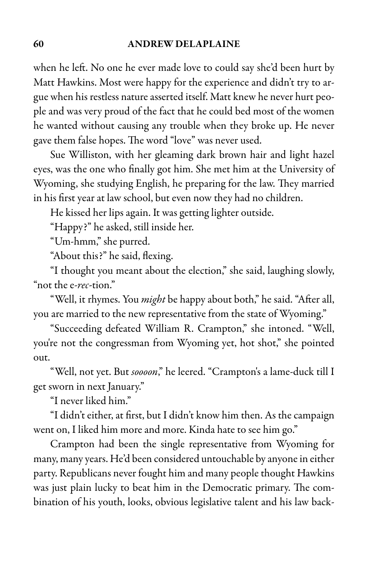### 60 ANDREW DELAPLAINE

when he left. No one he ever made love to could say she'd been hurt by Matt Hawkins. Most were happy for the experience and didn't try to argue when his restless nature asserted itself. Matt knew he never hurt people and was very proud of the fact that he could bed most of the women he wanted without causing any trouble when they broke up. He never gave them false hopes. The word "love" was never used.

Sue Williston, with her gleaming dark brown hair and light hazel eyes, was the one who finally got him. She met him at the University of Wyoming, she studying English, he preparing for the law. They married in his first year at law school, but even now they had no children.

He kissed her lips again. It was getting lighter outside.

"Happy?" he asked, still inside her.

"Um-hmm," she purred.

"About this?" he said, flexing.

"I thought you meant about the election," she said, laughing slowly, "not the e-rec-tion."

"Well, it rhymes. You *might* be happy about both," he said. "After all, you are married to the new representative from the state of Wyoming."

"Succeeding defeated William R. Crampton," she intoned. "Well, you're not the congressman from Wyoming yet, hot shot," she pointed out.

"Well, not yet. But soooon," he leered. "Crampton's a lame-duck till I get sworn in next January."

"I never liked him."

"I didn't either, at first, but I didn't know him then. As the campaign went on, I liked him more and more. Kinda hate to see him go."

Crampton had been the single representative from Wyoming for many, many years. He'd been considered untouchable by anyone in either party. Republicans never fought him and many people thought Hawkins was just plain lucky to beat him in the Democratic primary. The combination of his youth, looks, obvious legislative talent and his law back-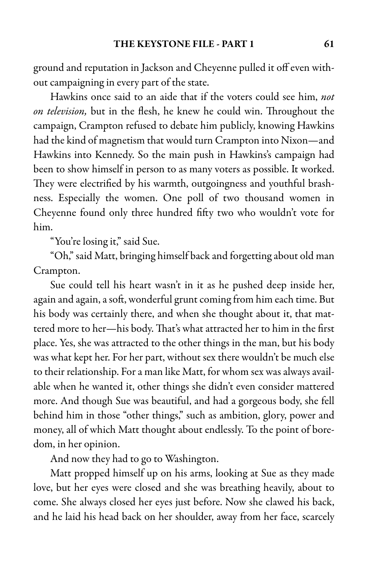ground and reputation in Jackson and Cheyenne pulled it off even without campaigning in every part of the state.

Hawkins once said to an aide that if the voters could see him, not on television, but in the flesh, he knew he could win. Throughout the campaign, Crampton refused to debate him publicly, knowing Hawkins had the kind of magnetism that would turn Crampton into Nixon—and Hawkins into Kennedy. So the main push in Hawkins's campaign had been to show himself in person to as many voters as possible. It worked. They were electrified by his warmth, outgoingness and youthful brashness. Especially the women. One poll of two thousand women in Cheyenne found only three hundred fifty two who wouldn't vote for him.

"You're losing it," said Sue.

"Oh," said Matt, bringing himself back and forgetting about old man Crampton.

Sue could tell his heart wasn't in it as he pushed deep inside her, again and again, a soft, wonderful grunt coming from him each time. But his body was certainly there, and when she thought about it, that mattered more to her—his body. That's what attracted her to him in the first place. Yes, she was attracted to the other things in the man, but his body was what kept her. For her part, without sex there wouldn't be much else to their relationship. For a man like Matt, for whom sex was always available when he wanted it, other things she didn't even consider mattered more. And though Sue was beautiful, and had a gorgeous body, she fell behind him in those "other things," such as ambition, glory, power and money, all of which Matt thought about endlessly. To the point of boredom, in her opinion.

And now they had to go to Washington.

Matt propped himself up on his arms, looking at Sue as they made love, but her eyes were closed and she was breathing heavily, about to come. She always closed her eyes just before. Now she clawed his back, and he laid his head back on her shoulder, away from her face, scarcely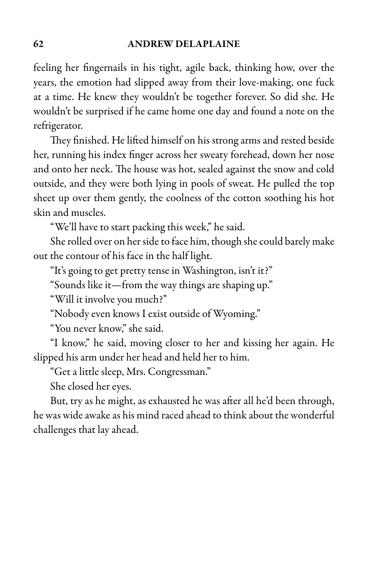feeling her fingernails in his tight, agile back, thinking how, over the years, the emotion had slipped away from their love-making, one fuck at a time. He knew they wouldn't be together forever. So did she. He wouldn't be surprised if he came home one day and found a note on the refrigerator.

They finished. He lifted himself on his strong arms and rested beside her, running his index finger across her sweaty forehead, down her nose and onto her neck. The house was hot, sealed against the snow and cold outside, and they were both lying in pools of sweat. He pulled the top sheet up over them gently, the coolness of the cotton soothing his hot skin and muscles.

"We'll have to start packing this week," he said.

She rolled over on her side to face him, though she could barely make out the contour of his face in the half light.

"It's going to get pretty tense in Washington, isn't it?"

"Sounds like it—from the way things are shaping up."

"Will it involve you much?"

"Nobody even knows I exist outside of Wyoming."

"You never know," she said.

"I know," he said, moving closer to her and kissing her again. He slipped his arm under her head and held her to him.

"Get a little sleep, Mrs. Congressman."

She closed her eyes.

But, try as he might, as exhausted he was after all he'd been through, he was wide awake as his mind raced ahead to think about the wonderful challenges that lay ahead.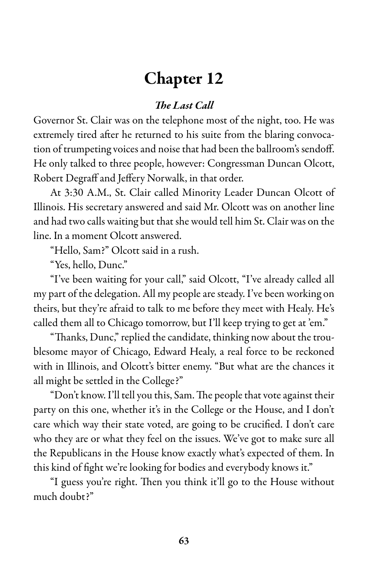### The Last Call

Governor St. Clair was on the telephone most of the night, too. He was extremely tired after he returned to his suite from the blaring convocation of trumpeting voices and noise that had been the ballroom's sendoff. He only talked to three people, however: Congressman Duncan Olcott, Robert Degraff and Jeffery Norwalk, in that order.

At 3:30 A.M., St. Clair called Minority Leader Duncan Olcott of Illinois. His secretary answered and said Mr. Olcott was on another line and had two calls waiting but that she would tell him St. Clair was on the line. In a moment Olcott answered.

"Hello, Sam?" Olcott said in a rush.

"Yes, hello, Dunc."

"I've been waiting for your call," said Olcott, "I've already called all my part of the delegation. All my people are steady. I've been working on theirs, but they're afraid to talk to me before they meet with Healy. He's called them all to Chicago tomorrow, but I'll keep trying to get at 'em."

"Thanks, Dunc," replied the candidate, thinking now about the troublesome mayor of Chicago, Edward Healy, a real force to be reckoned with in Illinois, and Olcott's bitter enemy. "But what are the chances it all might be settled in the College?"

"Don't know. I'll tell you this, Sam. The people that vote against their party on this one, whether it's in the College or the House, and I don't care which way their state voted, are going to be crucified. I don't care who they are or what they feel on the issues. We've got to make sure all the Republicans in the House know exactly what's expected of them. In this kind of fight we're looking for bodies and everybody knows it."

"I guess you're right. Then you think it'll go to the House without much doubt?"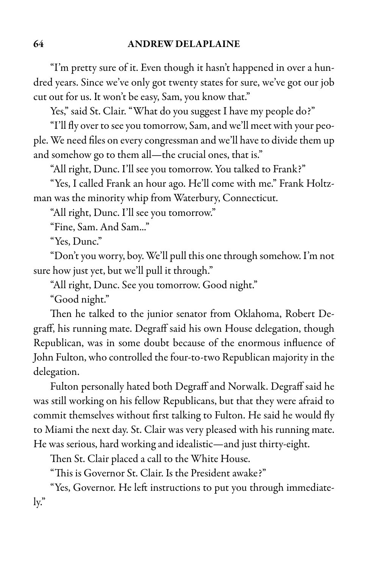"I'm pretty sure of it. Even though it hasn't happened in over a hundred years. Since we've only got twenty states for sure, we've got our job cut out for us. It won't be easy, Sam, you know that."

Yes," said St. Clair. "What do you suggest I have my people do?"

"I'll fly over to see you tomorrow, Sam, and we'll meet with your people. We need files on every congressman and we'll have to divide them up and somehow go to them all—the crucial ones, that is."

"All right, Dunc. I'll see you tomorrow. You talked to Frank?"

"Yes, I called Frank an hour ago. He'll come with me." Frank Holtzman was the minority whip from Waterbury, Connecticut.

"All right, Dunc. I'll see you tomorrow."

"Fine, Sam. And Sam..."

"Yes, Dunc."

"Don't you worry, boy. We'll pull this one through somehow. I'm not sure how just yet, but we'll pull it through."

"All right, Dunc. See you tomorrow. Good night."

"Good night."

Then he talked to the junior senator from Oklahoma, Robert Degraff, his running mate. Degraff said his own House delegation, though Republican, was in some doubt because of the enormous influence of John Fulton, who controlled the four-to-two Republican majority in the delegation.

Fulton personally hated both Degraff and Norwalk. Degraff said he was still working on his fellow Republicans, but that they were afraid to commit themselves without first talking to Fulton. He said he would fly to Miami the next day. St. Clair was very pleased with his running mate. He was serious, hard working and idealistic—and just thirty-eight.

Then St. Clair placed a call to the White House.

"This is Governor St. Clair. Is the President awake?"

"Yes, Governor. He left instructions to put you through immediately."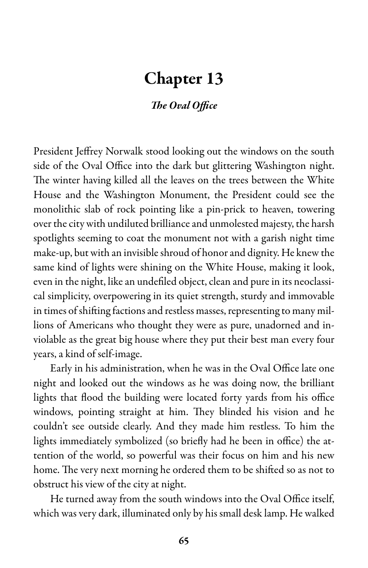### The Oval Office

President Jeffrey Norwalk stood looking out the windows on the south side of the Oval Office into the dark but glittering Washington night. The winter having killed all the leaves on the trees between the White House and the Washington Monument, the President could see the monolithic slab of rock pointing like a pin-prick to heaven, towering over the city with undiluted brilliance and unmolested majesty, the harsh spotlights seeming to coat the monument not with a garish night time make-up, but with an invisible shroud of honor and dignity. He knew the same kind of lights were shining on the White House, making it look, even in the night, like an undefiled object, clean and pure in its neoclassical simplicity, overpowering in its quiet strength, sturdy and immovable in times of shifting factions and restless masses, representing to many millions of Americans who thought they were as pure, unadorned and inviolable as the great big house where they put their best man every four years, a kind of self-image.

Early in his administration, when he was in the Oval Office late one night and looked out the windows as he was doing now, the brilliant lights that flood the building were located forty yards from his office windows, pointing straight at him. They blinded his vision and he couldn't see outside clearly. And they made him restless. To him the lights immediately symbolized (so briefly had he been in office) the attention of the world, so powerful was their focus on him and his new home. The very next morning he ordered them to be shifted so as not to obstruct his view of the city at night.

He turned away from the south windows into the Oval Office itself, which was very dark, illuminated only by his small desk lamp. He walked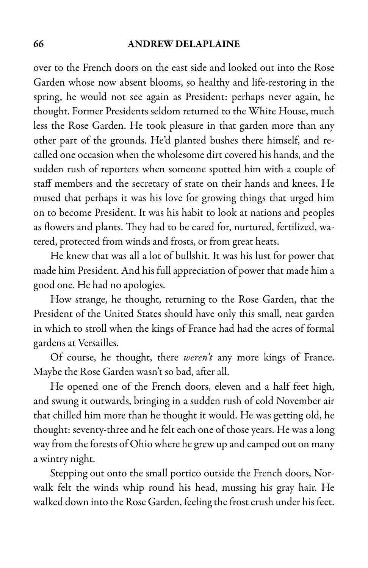#### 66 ANDREW DELAPLAINE

over to the French doors on the east side and looked out into the Rose Garden whose now absent blooms, so healthy and life-restoring in the spring, he would not see again as President: perhaps never again, he thought. Former Presidents seldom returned to the White House, much less the Rose Garden. He took pleasure in that garden more than any other part of the grounds. He'd planted bushes there himself, and recalled one occasion when the wholesome dirt covered his hands, and the sudden rush of reporters when someone spotted him with a couple of staff members and the secretary of state on their hands and knees. He mused that perhaps it was his love for growing things that urged him on to become President. It was his habit to look at nations and peoples as flowers and plants. They had to be cared for, nurtured, fertilized, watered, protected from winds and frosts, or from great heats.

He knew that was all a lot of bullshit. It was his lust for power that made him President. And his full appreciation of power that made him a good one. He had no apologies.

How strange, he thought, returning to the Rose Garden, that the President of the United States should have only this small, neat garden in which to stroll when the kings of France had had the acres of formal gardens at Versailles.

Of course, he thought, there weren't any more kings of France. Maybe the Rose Garden wasn't so bad, after all.

He opened one of the French doors, eleven and a half feet high, and swung it outwards, bringing in a sudden rush of cold November air that chilled him more than he thought it would. He was getting old, he thought: seventy-three and he felt each one of those years. He was a long way from the forests of Ohio where he grew up and camped out on many a wintry night.

Stepping out onto the small portico outside the French doors, Norwalk felt the winds whip round his head, mussing his gray hair. He walked down into the Rose Garden, feeling the frost crush under his feet.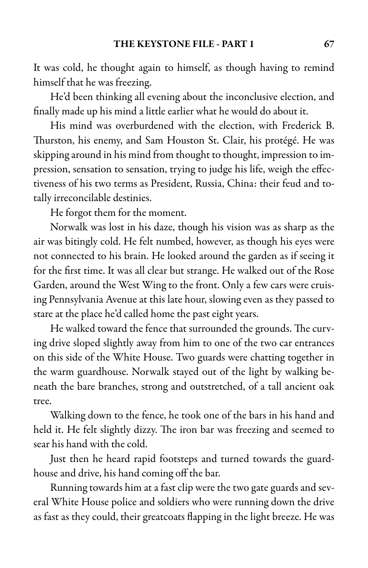It was cold, he thought again to himself, as though having to remind himself that he was freezing.

He'd been thinking all evening about the inconclusive election, and finally made up his mind a little earlier what he would do about it.

His mind was overburdened with the election, with Frederick B. Thurston, his enemy, and Sam Houston St. Clair, his protégé. He was skipping around in his mind from thought to thought, impression to impression, sensation to sensation, trying to judge his life, weigh the effectiveness of his two terms as President, Russia, China: their feud and totally irreconcilable destinies.

He forgot them for the moment.

Norwalk was lost in his daze, though his vision was as sharp as the air was bitingly cold. He felt numbed, however, as though his eyes were not connected to his brain. He looked around the garden as if seeing it for the first time. It was all clear but strange. He walked out of the Rose Garden, around the West Wing to the front. Only a few cars were cruising Pennsylvania Avenue at this late hour, slowing even as they passed to stare at the place he'd called home the past eight years.

He walked toward the fence that surrounded the grounds. The curving drive sloped slightly away from him to one of the two car entrances on this side of the White House. Two guards were chatting together in the warm guardhouse. Norwalk stayed out of the light by walking beneath the bare branches, strong and outstretched, of a tall ancient oak tree.

Walking down to the fence, he took one of the bars in his hand and held it. He felt slightly dizzy. The iron bar was freezing and seemed to sear his hand with the cold.

Just then he heard rapid footsteps and turned towards the guardhouse and drive, his hand coming off the bar.

Running towards him at a fast clip were the two gate guards and several White House police and soldiers who were running down the drive as fast as they could, their greatcoats flapping in the light breeze. He was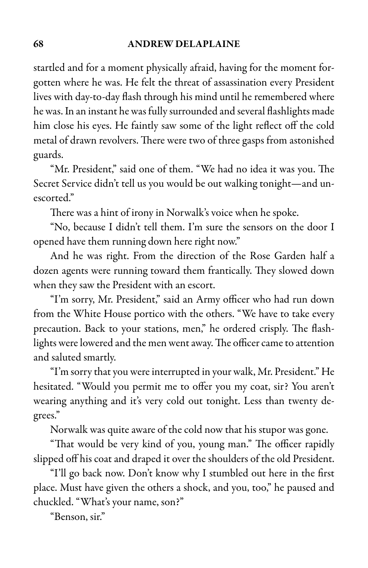#### 68 ANDREW DELAPLAINE

startled and for a moment physically afraid, having for the moment forgotten where he was. He felt the threat of assassination every President lives with day-to-day flash through his mind until he remembered where he was.In an instant he was fully surrounded and several flashlights made him close his eyes. He faintly saw some of the light reflect off the cold metal of drawn revolvers. There were two of three gasps from astonished guards.

"Mr. President," said one of them. "We had no idea it was you. The Secret Service didn't tell us you would be out walking tonight—and unescorted."

There was a hint of irony in Norwalk's voice when he spoke.

"No, because I didn't tell them. I'm sure the sensors on the door I opened have them running down here right now."

And he was right. From the direction of the Rose Garden half a dozen agents were running toward them frantically. They slowed down when they saw the President with an escort.

"I'm sorry, Mr. President," said an Army officer who had run down from the White House portico with the others. "We have to take every precaution. Back to your stations, men," he ordered crisply. The flashlights were lowered and the men went away. The officer came to attention and saluted smartly.

"I'm sorry that you were interrupted in your walk, Mr. President." He hesitated. "Would you permit me to offer you my coat, sir? You aren't wearing anything and it's very cold out tonight. Less than twenty degrees."

Norwalk was quite aware of the cold now that his stupor was gone.

"That would be very kind of you, young man." The officer rapidly slipped off his coat and draped it over the shoulders of the old President.

"I'll go back now. Don't know why I stumbled out here in the first place. Must have given the others a shock, and you, too," he paused and chuckled. "What's your name, son?"

"Benson, sir."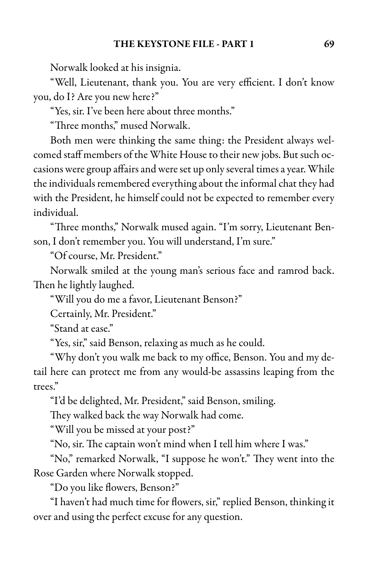Norwalk looked at his insignia.

"Well, Lieutenant, thank you. You are very efficient. I don't know you, do I? Are you new here?"

"Yes, sir. I've been here about three months."

"Three months," mused Norwalk.

Both men were thinking the same thing: the President always welcomed staff members of the White House to their new jobs. But such occasions were group affairs and were set up only several times a year. While the individuals remembered everything about the informal chat they had with the President, he himself could not be expected to remember every individual.

"Three months," Norwalk mused again. "I'm sorry, Lieutenant Benson, I don't remember you. You will understand, I'm sure."

"Of course, Mr. President."

Norwalk smiled at the young man's serious face and ramrod back. Then he lightly laughed.

"Will you do me a favor, Lieutenant Benson?"

Certainly, Mr. President."

"Stand at ease."

"Yes, sir," said Benson, relaxing as much as he could.

"Why don't you walk me back to my office, Benson. You and my detail here can protect me from any would-be assassins leaping from the trees."

"I'd be delighted, Mr. President," said Benson, smiling.

They walked back the way Norwalk had come.

"Will you be missed at your post?"

"No, sir. The captain won't mind when I tell him where I was."

"No," remarked Norwalk, "I suppose he won't." They went into the Rose Garden where Norwalk stopped.

"Do you like flowers, Benson?"

"I haven't had much timefor flowers, sir," replied Benson, thinking it over and using the perfect excuse for any question.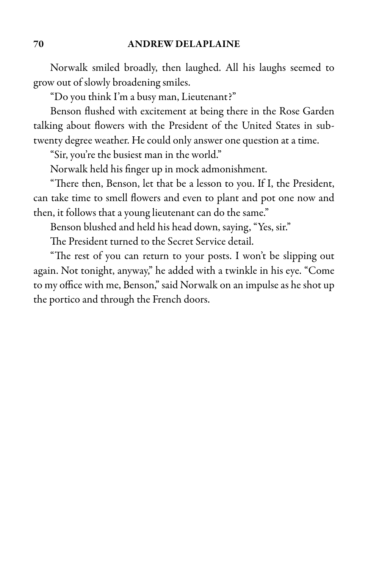Norwalk smiled broadly, then laughed. All his laughs seemed to grow out of slowly broadening smiles.

"Do you think I'm a busy man, Lieutenant?"

Benson flushed with excitement at being there in the Rose Garden talking about flowers with the President of the United States in subtwenty degree weather. He could only answer one question at a time.

"Sir, you're the busiest man in the world."

Norwalk held his finger up in mock admonishment.

"There then, Benson, let that be a lesson to you. If I, the President, can take time to smell flowers and even to plant and pot one now and then, it follows that a young lieutenant can do the same."

Benson blushed and held his head down, saying, "Yes, sir."

The President turned to the Secret Service detail.

"The rest of you can return to your posts. I won't be slipping out again. Not tonight, anyway," he added with a twinkle in his eye. "Come to my office with me, Benson," said Norwalk on an impulse as he shot up the portico and through the French doors.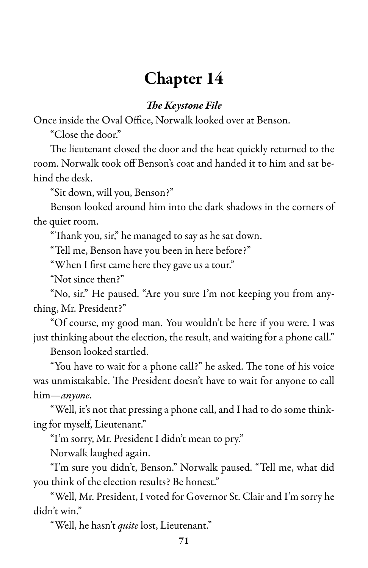### The Keystone File

Once inside the Oval Office, Norwalk looked over at Benson.

"Close the door."

The lieutenant closed the door and the heat quickly returned to the room. Norwalk took off Benson's coat and handed it to him and sat behind the desk.

"Sit down, will you, Benson?"

Benson looked around him into the dark shadows in the corners of the quiet room.

"Thank you, sir," he managed to say as he sat down.

"Tell me, Benson have you been in here before?"

"When I first came here they gave us a tour."

"Not since then?"

"No, sir." He paused. "Are you sure I'm not keeping you from anything, Mr. President?"

"Of course, my good man. You wouldn't be here if you were. I was just thinking about the election, the result, and waiting for a phone call."

Benson looked startled.

"You have to wait for a phone call?" he asked. The tone of his voice was unmistakable. The President doesn't have to wait for anyone to call him—*anyone*.

"Well, it's not that pressing a phone call, and I had to do some thinking for myself, Lieutenant."

"I'm sorry, Mr. President I didn't mean to pry."

Norwalk laughed again.

"I'm sure you didn't, Benson." Norwalk paused. "Tell me, what did you think of the election results? Be honest."

"Well, Mr. President, I voted for Governor St. Clairand I'm sorry he didn't win."

"Well, he hasn't quite lost, Lieutenant."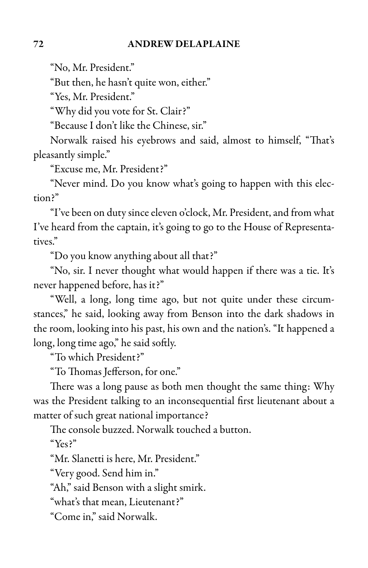"No, Mr. President."

"But then, he hasn't quite won, either."

"Yes, Mr. President."

"Why did you vote for St. Clair?"

"Because I don't like the Chinese, sir."

Norwalk raised his eyebrows and said, almost to himself, "That's pleasantly simple."

"Excuse me, Mr. President?"

"Never mind. Do you know what's going to happen with this election?"

"I've been on duty since eleven o'clock, Mr. President, and from what I've heard from the captain, it's going to go to the House of Representatives."

"Do you know anything about all that?"

"No, sir. I never thought what would happen if there was a tie. It's never happened before, has it?"

"Well, a long, long time ago, but not quite under these circumstances," he said, looking away from Benson into the dark shadows in the room, looking into his past, his own and the nation's. "It happened a long, long time ago," he said softly.

"To which President?"

"To Thomas Jefferson, for one."

There was a long pause as both men thought the same thing: Why was the President talking to an inconsequential first lieutenant about a matter of such great national importance?

The console buzzed. Norwalk touched a button.

"Yes?"

"Mr. Slanetti is here, Mr. President."

"Very good. Send him in."

"Ah," said Benson with a slight smirk.

"what's that mean, Lieutenant?"

"Come in," said Norwalk.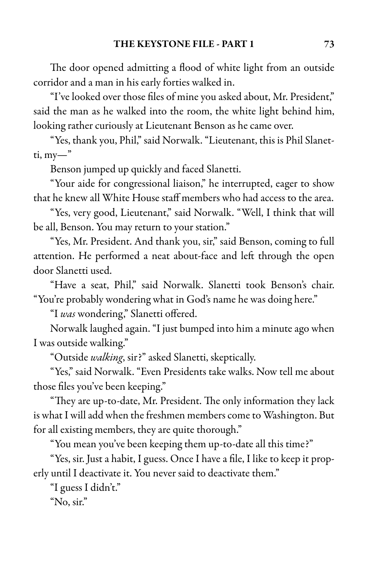The door opened admitting a flood of white light from an outside corridor and a man in his early forties walked in.

"I've looked over those files of mine you asked about, Mr. President," said the man as he walked into the room, the white light behind him, looking rather curiously at Lieutenant Benson as he came over.

"Yes, thank you, Phil," said Norwalk. "Lieutenant, this is Phil Slanet $ti, my-$ "

Benson jumped up quickly and faced Slanetti.

"Your aide for congressional liaison," he interrupted, eager to show that he knew all White House staff members who had access to the area.

"Yes, very good, Lieutenant," said Norwalk. "Well, I think that will be all, Benson. You may return to your station."

"Yes, Mr. President. And thank you, sir," said Benson, coming to full attention. He performed a neat about-face and left through the open door Slanetti used.

"Have a seat, Phil," said Norwalk. Slanetti took Benson's chair. "You're probably wondering what in God's name he was doing here."

"I was wondering," Slanetti offered.

Norwalk laughed again. "I just bumped into him a minute ago when I was outside walking."

"Outside walking, sir?" asked Slanetti, skeptically.

"Yes," said Norwalk. "Even Presidents take walks. Now tell me about those files you've been keeping."

"They are up-to-date, Mr. President. The only information they lack is what I will add when the freshmen members come to Washington. But for all existing members, they are quite thorough."

"You mean you've been keeping them up-to-date all this time?"

"Yes, sir. Just a habit, I guess. Once I have a file, I like to keep it properly until I deactivate it. You never said to deactivate them."

"I guess I didn't."

"No, sir."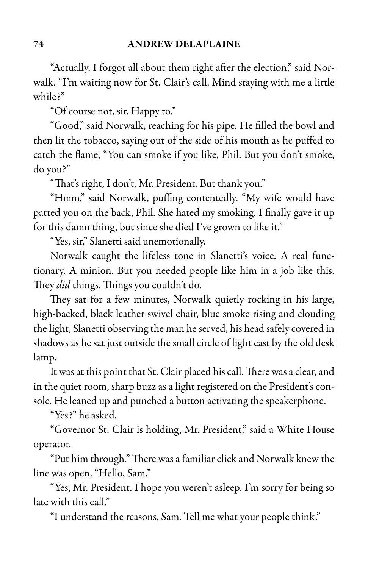"Actually, I forgot all about them right after the election," said Norwalk. "I'm waiting now for St. Clair's call. Mind staying with me a little while?"

"Of course not, sir. Happy to."

"Good," said Norwalk, reaching for his pipe. He filled the bowl and then lit the tobacco, saying out of the side of his mouth as he puffed to catch the flame, "You can smoke if you like, Phil. But you don't smoke, do you?"

"That's right, I don't, Mr. President. But thank you."

"Hmm," said Norwalk, puffing contentedly. "My wife would have patted you on the back, Phil. She hated my smoking. I finally gave it up for this damn thing, but since she died I've grown to like it."

"Yes, sir," Slanetti said unemotionally.

Norwalk caught the lifeless tone in Slanetti's voice. A real functionary. A minion. But you needed people like him in a job like this. They *did* things. Things you couldn't do.

They sat for a few minutes, Norwalk quietly rocking in his large, high-backed, black leather swivel chair, blue smoke rising and clouding the light, Slanetti observing the man he served, his head safely covered in shadows as he sat just outside the small circle of light cast by the old desk lamp.

It was at this point that St. Clair placed his call. There was a clear, and in the quiet room, sharp buzz as a light registered on the President's console. He leaned up and punched a button activating the speakerphone.

"Yes?" he asked.

"Governor St. Clair is holding, Mr. President," said a White House operator.

"Put him through." There was a familiar click and Norwalk knew the line was open. "Hello, Sam."

"Yes, Mr. President. I hope you weren't asleep. I'm sorry for being so late with this call."

"I understand the reasons, Sam. Tell me what your people think."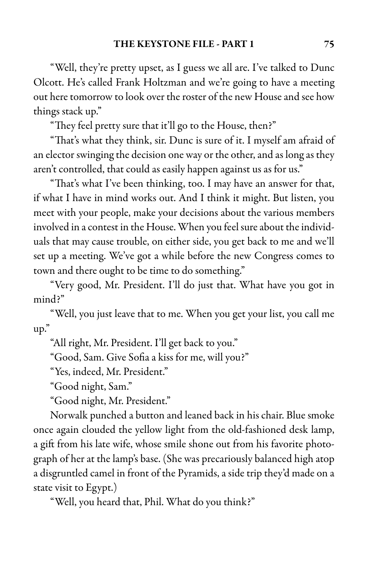"Well, they're pretty upset, as I guess we all are. I've talked to Dunc Olcott. He's called Frank Holtzman and we're going to have a meeting out here tomorrow to look over the roster of the new House and see how things stack up."

"They feel pretty sure that it'll go to the House, then?"

"That's what they think, sir. Dunc is sure of it. I myself am afraid of an elector swinging the decision one way or the other, and as long as they aren't controlled, that could as easily happen against us as for us."

"That's what I've been thinking, too. I may have an answer for that, if what I have in mind works out. And I think it might. But listen, you meet with your people, make your decisions about the various members involved in a contest in the House. When you feel sure about the individuals that may cause trouble, on either side, you get back to me and we'll set up a meeting. We've got a while before the new Congress comes to town and there ought to be time to do something."

"Very good, Mr. President. I'll do just that. What have you got in mind?"

"Well, you just leave that to me. When you get your list, you call me up."

"All right, Mr. President. I'll get back to you."

"Good, Sam. Give Sofia a kiss for me, will you?"

"Yes, indeed, Mr. President."

"Good night, Sam."

"Good night, Mr. President."

Norwalk punched a button and leaned back in his chair. Blue smoke once again clouded the yellow light from the old-fashioned desk lamp, a gift from his late wife, whose smile shone out from his favorite photograph of her at the lamp's base. (She was precariously balanced high atop a disgruntled camel in front of the Pyramids, a side trip they'd made on a state visit to Egypt.)

"Well, you heard that, Phil. What do you think?"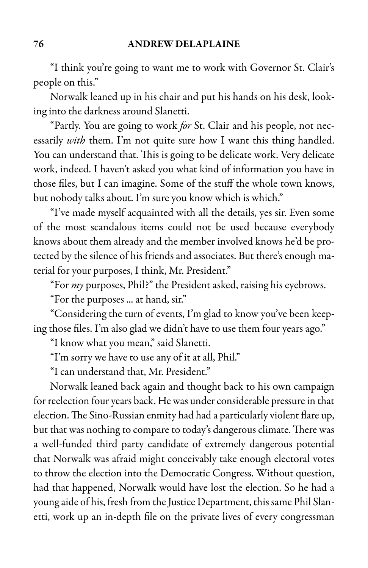"I think you're going to want me to work with Governor St. Clair's people on this."

Norwalk leaned up in his chair and put his hands on his desk, looking into the darkness around Slanetti.

"Partly. You are going to work for St. Clair and his people, not necessarily with them. I'm not quite sure how I want this thing handled. You can understand that. This is going to be delicate work. Very delicate work, indeed. I haven't asked you what kind of information you have in those files, but I can imagine. Some of the stuff the whole town knows, but nobody talks about. I'm sure you know which is which."

"I've made myself acquainted with all the details, yes sir. Even some of the most scandalous items could not be used because everybody knows about them already and the member involved knows he'd be protected by the silence of his friends and associates. But there's enough material for your purposes, I think, Mr. President."

"For *my* purposes, Phil?" the President asked, raising his eyebrows.

"For the purposes ... at hand, sir."

"Considering the turn of events, I'm glad to know you've been keeping those files. I'm also glad we didn't have to use them four years ago."

"I know what you mean," said Slanetti.

"I'm sorry we have to use any of it at all, Phil."

"I can understand that, Mr. President."

Norwalk leaned back again and thought back to his own campaign for reelection four years back. He was under considerable pressure in that election. The Sino-Russian enmity had had a particularly violent flare up, but that was nothing to compare to today's dangerous climate. There was a well-funded third party candidate of extremely dangerous potential that Norwalk was afraid might conceivably take enough electoral votes to throw the election into the Democratic Congress. Without question, had that happened, Norwalk would have lost the election. So he had a young aide of his, fresh from the Justice Department, this same Phil Slanetti, work up an in-depth file on the private lives of every congressman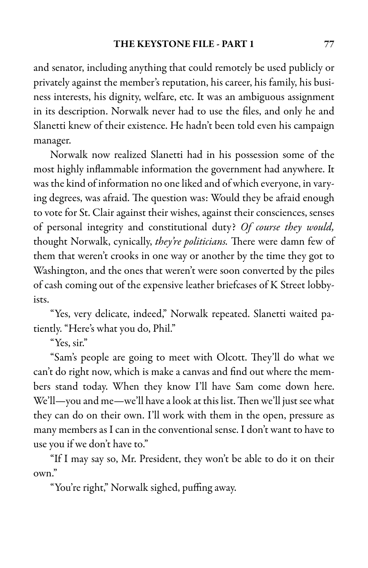and senator, including anything that could remotely be used publicly or privately against the member's reputation, his career, his family, his business interests, his dignity, welfare, etc. It was an ambiguous assignment in its description. Norwalk never had to use the files, and only he and Slanetti knew of their existence. He hadn't been told even his campaign manager.

Norwalk now realized Slanetti had in his possession some of the most highly inflammable information the government had anywhere. It was the kind of information no oneliked and of which everyone, in varying degrees, was afraid. The question was: Would they be afraid enough to vote for St. Clair against their wishes, against their consciences, senses of personal integrity and constitutional duty? Of course they would, thought Norwalk, cynically, they're politicians. There were damn few of them that weren't crooks in one way or another by the time they got to Washington, and the ones that weren't were soon converted by the piles of cash coming out of the expensive leather briefcases of K Street lobbyists.

"Yes, very delicate, indeed," Norwalk repeated. Slanetti waited patiently. "Here's what you do, Phil."

"Yes, sir."

"Sam's people are going to meet with Olcott. They'll do what we can't do right now, which is make a canvas and find out where the members stand today. When they know I'll have Sam come down here. We'll—you and me—we'll havealook at this list.Then we'll just see what they can do on their own. I'll work with them in the open, pressure as many members as I can in the conventional sense. I don't want to have to use you if we don't have to."

"If I may say so, Mr. President, they won't be able to do it on their own."

"You're right," Norwalk sighed, puffing away.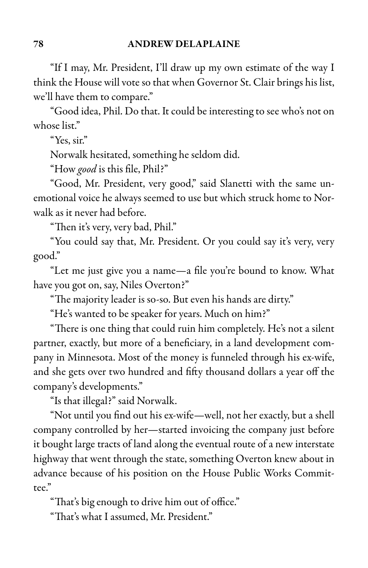"If I may, Mr. President, I'll draw up my own estimate of the way I think the House will vote so that when Governor St. Clair brings his list, we'll have them to compare."

"Good idea, Phil. Do that. It could be interesting to see who's not on whose list."

"Yes, sir."

Norwalk hesitated, something he seldom did.

"How good is this file, Phil?"

"Good, Mr. President, very good," said Slanetti with the same unemotional voice he always seemed to use but which struck home to Norwalk as it never had before.

"Then it's very, very bad, Phil."

"You could say that, Mr. President. Or you could say it's very, very good."

"Let me just give you a name—a file you're bound to know. What have you got on, say, Niles Overton?"

"The majority leader is so-so. But even his hands are dirty."

"He's wanted to be speaker for years. Much on him?"

"There is one thing that could ruin him completely. He's not a silent partner, exactly, but more of a beneficiary, in a land development company in Minnesota. Most of the money is funneled through his ex-wife, and she gets over two hundred and fifty thousand dollars a year off the company's developments."

"Is that illegal?" said Norwalk.

"Not until you find out his ex-wife—well, not her exactly, but a shell company controlled by her—started invoicing the company just before it bought large tracts of land along the eventual route of a new interstate highway that went through the state, something Overton knew about in advance because of his position on the House Public Works Committee."

"That's big enough to drive him out of office."

"That's what I assumed, Mr. President."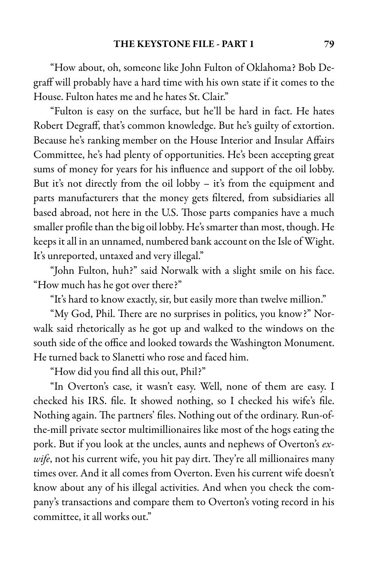"How about, oh, someone like John Fulton of Oklahoma? Bob Degraff will probably have a hard time with his own state if it comes to the House. Fulton hates me and he hates St. Clair."

"Fulton is easy on the surface, but he'll be hard in fact. He hates Robert Degraff, that's common knowledge. But he's guilty of extortion. Because he's ranking member on the House Interior and Insular Affairs Committee, he's had plenty of opportunities. He's been accepting great sums of money for years for his influence and support of the oil lobby. But it's not directly from the oil lobby – it's from the equipment and parts manufacturers that the money gets filtered, from subsidiaries all based abroad, not here in the U.S. Those parts companies have a much smaller profile than the big oil lobby. He's smarter than most, though. He keeps it all in an unnamed, numbered bank account on the Isle of Wight. It's unreported, untaxed and very illegal."

"John Fulton, huh?" said Norwalk with a slight smile on his face. "How much has he got over there?"

"It's hard to know exactly, sir, but easily more than twelve million."

"My God, Phil. There are no surprises in politics, you know?" Norwalk said rhetorically as he got up and walked to the windows on the south side of the office and looked towards the Washington Monument. He turned back to Slanetti who rose and faced him.

"How did you find all this out, Phil?"

"In Overton's case, it wasn't easy. Well, none of them are easy. I checked his IRS. file. It showed nothing, so I checked his wife's file. Nothing again. The partners' files. Nothing out of the ordinary. Run-ofthe-mill private sector multimillionaires like most of the hogs eating the pork. But if you look at the uncles, aunts and nephews of Overton's exwife, not his current wife, you hit pay dirt. They're all millionaires many times over. And it all comes from Overton. Even his current wife doesn't know about any of his illegal activities. And when you check the company's transactions and compare them to Overton's voting record in his committee, it all works out."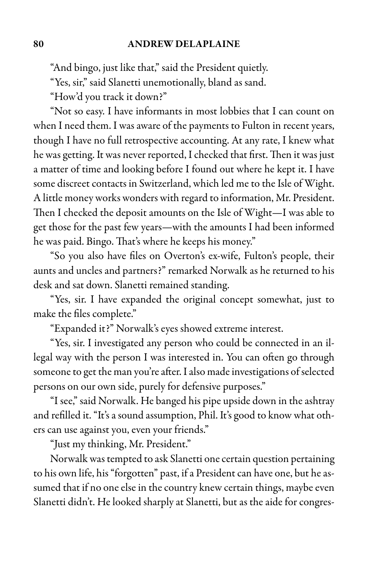#### 80 ANDREW DELAPLAINE

"And bingo, just like that," said the President quietly.

"Yes, sir," said Slanetti unemotionally, bland as sand.

"How'd you track it down?"

"Not so easy. I have informants in most lobbies that I can count on when I need them. I was aware of the payments to Fulton in recent years, though I have no full retrospective accounting. At any rate, I knew what he was getting. It was never reported, Ichecked that first. Then it was just a matter of time and looking before I found out where he kept it. I have some discreet contacts in Switzerland, which led me to the Isle of Wight. A little money works wonders with regard to information, Mr. President. Then I checked the deposit amounts on the Isle of Wight—I was able to get those for the past few years—with the amounts I had been informed he was paid. Bingo. That's where he keeps his money."

"So you also have files on Overton's ex-wife, Fulton's people, their aunts and uncles and partners?" remarked Norwalk as he returned to his desk and sat down. Slanetti remained standing.

"Yes, sir. I have expanded the original concept somewhat, just to make the files complete."

"Expanded it?" Norwalk's eyes showed extreme interest.

"Yes, sir. I investigated any person who could be connected in an illegal way with the person I was interested in. You can often go through someone to get the man you're after. I also made investigations of selected persons on our own side, purely for defensive purposes."

"I see," said Norwalk. He banged his pipe upside down in the ashtray and refilled it. "It's a sound assumption, Phil. It's good to know what others can use against you, even your friends."

"Just my thinking, Mr. President."

Norwalk was tempted to ask Slanetti one certain question pertaining to his own life, his "forgotten" past, if a President can have one, but he assumed that if no one else in the country knew certain things, maybe even Slanetti didn't. He looked sharply at Slanetti, but as the aide for congres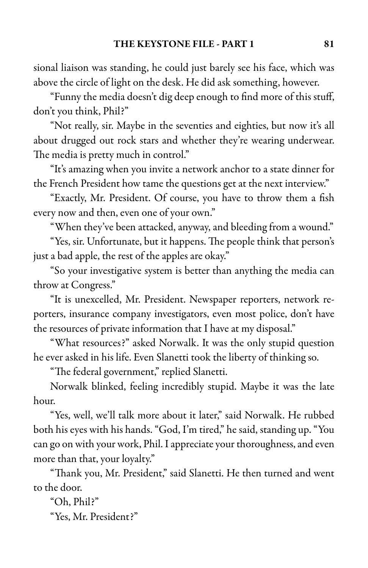sional liaison was standing, he could just barely see his face, which was above the circle of light on the desk. He did ask something, however.

"Funny the media doesn't dig deep enough to find more of this stuff, don't you think, Phil?"

"Not really, sir. Maybe in the seventies and eighties, but now it's all about drugged out rock stars and whether they're wearing underwear. The media is pretty much in control."

"It's amazing when you invite a network anchor to a state dinner for the French President how tame the questions get at the next interview."

"Exactly, Mr. President. Of course, you have to throw them a fish every now and then, even one of your own."

"When they've been attacked, anyway, and bleeding from a wound."

"Yes, sir. Unfortunate, but it happens. The people think that person's just a bad apple, the rest of the apples are okay."

"So your investigative system is better than anything the media can throw at Congress."

"It is unexcelled, Mr. President. Newspaper reporters, network reporters, insurance company investigators, even most police, don't have the resources of private information that I have at my disposal."

"What resources?" asked Norwalk. It was the only stupid question he ever asked in his life. Even Slanetti took the liberty of thinking so.

"The federal government," replied Slanetti.

Norwalk blinked, feeling incredibly stupid. Maybe it was the late hour.

"Yes, well, we'll talk more about it later," said Norwalk. He rubbed both his eyes with his hands. "God, I'm tired," he said, standing up. "You can go on with your work, Phil. I appreciate your thoroughness, and even more than that, your loyalty."

"Thank you, Mr. President," said Slanetti. He then turned and went to the door.

"Oh, Phil?"

"Yes, Mr. President?"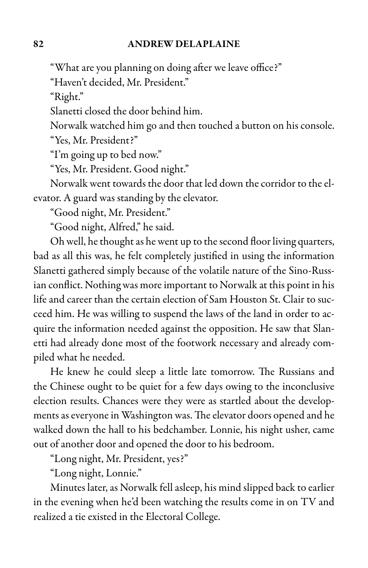"What are you planning on doing after we leave office?"

"Haven't decided, Mr. President."

"Right."

Slanetti closed the door behind him.

Norwalk watched him go and then touched a button on hisconsole.

"Yes, Mr. President?"

"I'm going up to bed now."

"Yes, Mr. President. Good night."

Norwalk went towards the door that led down the corridor to the elevator. A guard was standing by the elevator.

"Good night, Mr. President."

"Good night, Alfred," he said.

Oh well, he thought as he went up to the second floor living quarters, bad as all this was, he felt completely justified in using the information Slanetti gathered simply because of the volatile nature of the Sino-Russian conflict. Nothing was more important to Norwalk at this point in his life and career than the certain election of Sam Houston St. Clair to succeed him. He was willing to suspend the laws of the land in order to acquire the information needed against the opposition. He saw that Slanetti had already done most of the footwork necessary and already compiled what he needed.

He knew he could sleep a little late tomorrow. The Russians and the Chinese ought to be quiet for a few days owing to the inconclusive election results. Chances were they were as startled about the developments as everyone in Washington was. The elevator doors opened and he walked down the hall to his bedchamber. Lonnie, his night usher, came out of another door and opened the door to his bedroom.

"Long night, Mr. President, yes?"

"Long night, Lonnie."

Minutes later, as Norwalk fell asleep, his mind slipped back to earlier in the evening when he'd been watching the results come in on TV and realized a tie existed in the Electoral College.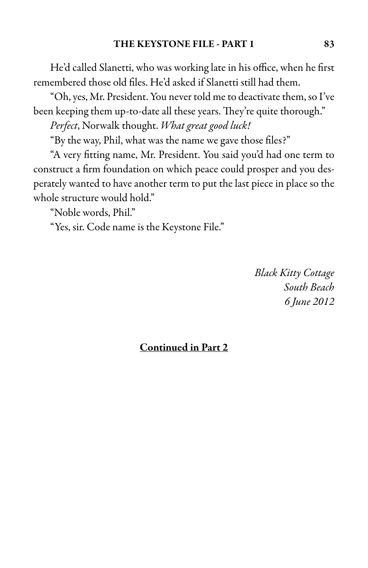He'd called Slanetti, who was working late in his office, when he first remembered those old files. He'd asked if Slanetti still had them.

"Oh, yes, Mr. President. You never told me to deactivate them, so I've been keeping them up-to-date all these years. They're quite thorough."

Perfect, Norwalk thought. What great good luck!

"By the way, Phil, what was the name we gave those files?"

"A very fitting name, Mr. President. You said you'd had one term to construct a firm foundation on which peace could prosper and you desperately wanted to have another term to put the last piece in place so the whole structure would hold."

"Noble words, Phil."

"Yes, sir. Code name is the Keystone File."

Black Kitty Cottage South Beach 6 June 2012

#### Continued in Part 2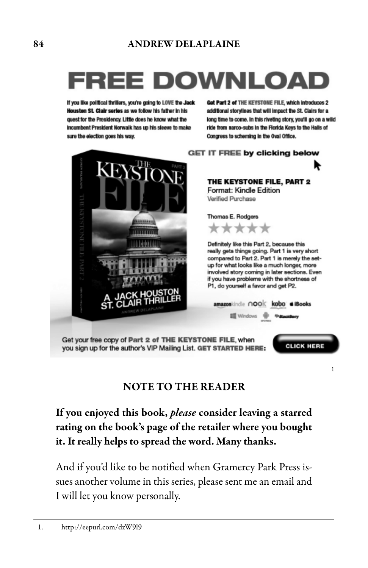## DOWNL( FREE

If you like political thrillers, you're going to LOVE the Jack Houston St. Clair series as we follow his father in his quest for the Presidency. Little does he know what the incumbent President Norwalk has up his sleeve to make sure the election goes his way.

Get Part 2 of THE KEYSTONE FILE, which introduces 2 additional storylines that will impact the St. Clairs for a long time to come. In this riveting story, you'll go on a wild ride from narco-subs in the Florida Keys to the Halls of Congress to scheming in the Oval Office.

1



### NOTE TO THE READER

If you enjoyed this book, please consider leaving a starred rating on the book's page of the retailer where you bought it. It really helps to spread the word. Many thanks.

And if you'd like to be notified when Gramercy Park Press issues another volume in this series, please sent me an email and I will let you know personally.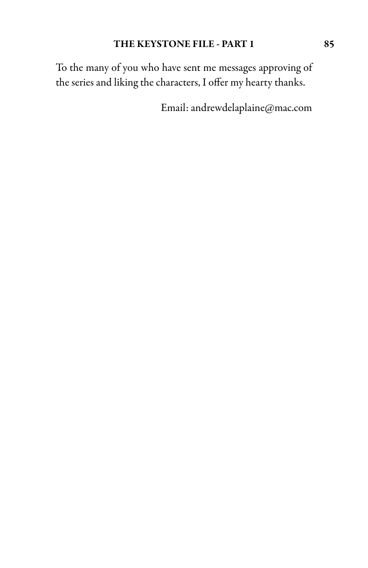To the many of you who have sent me messages approving of the series and liking the characters, I offer my hearty thanks.

Email: andrewdelaplaine@mac.com